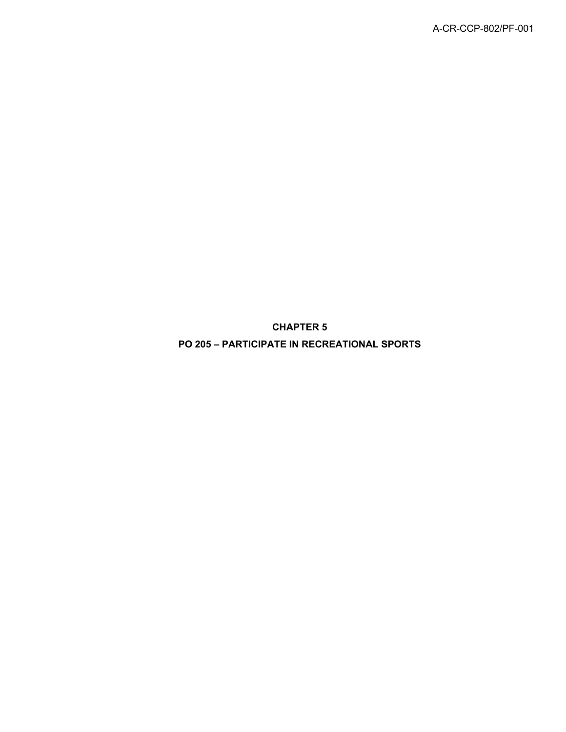CHAPTER 5

PO 205 – PARTICIPATE IN RECREATIONAL SPORTS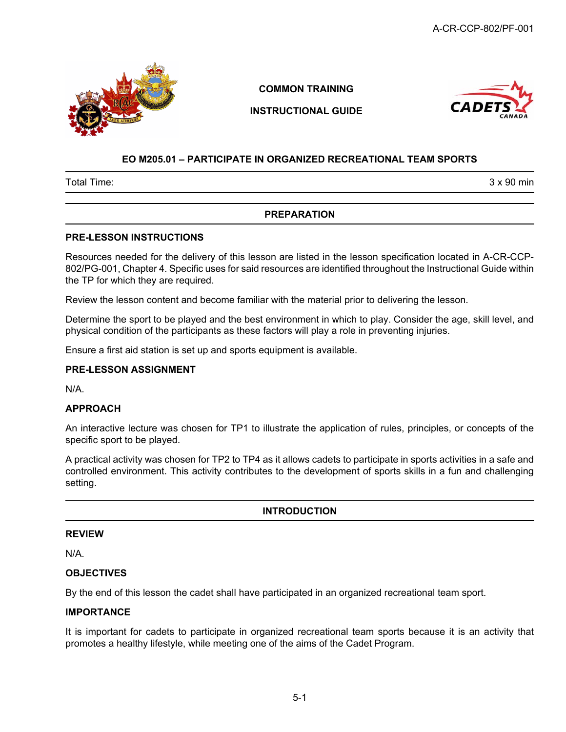

COMMON TRAINING

INSTRUCTIONAL GUIDE



## EO M205.01 – PARTICIPATE IN ORGANIZED RECREATIONAL TEAM SPORTS

Total Time: 3 x 90 min

## PREPARATION

### PRE-LESSON INSTRUCTIONS

Resources needed for the delivery of this lesson are listed in the lesson specification located in A-CR-CCP-802/PG-001, Chapter 4. Specific uses for said resources are identified throughout the Instructional Guide within the TP for which they are required.

Review the lesson content and become familiar with the material prior to delivering the lesson.

Determine the sport to be played and the best environment in which to play. Consider the age, skill level, and physical condition of the participants as these factors will play a role in preventing injuries.

Ensure a first aid station is set up and sports equipment is available.

## PRE-LESSON ASSIGNMENT

N/A.

## APPROACH

An interactive lecture was chosen for TP1 to illustrate the application of rules, principles, or concepts of the specific sport to be played.

A practical activity was chosen for TP2 to TP4 as it allows cadets to participate in sports activities in a safe and controlled environment. This activity contributes to the development of sports skills in a fun and challenging setting.

# INTRODUCTION

#### REVIEW

N/A.

## **OBJECTIVES**

By the end of this lesson the cadet shall have participated in an organized recreational team sport.

## **IMPORTANCE**

It is important for cadets to participate in organized recreational team sports because it is an activity that promotes a healthy lifestyle, while meeting one of the aims of the Cadet Program.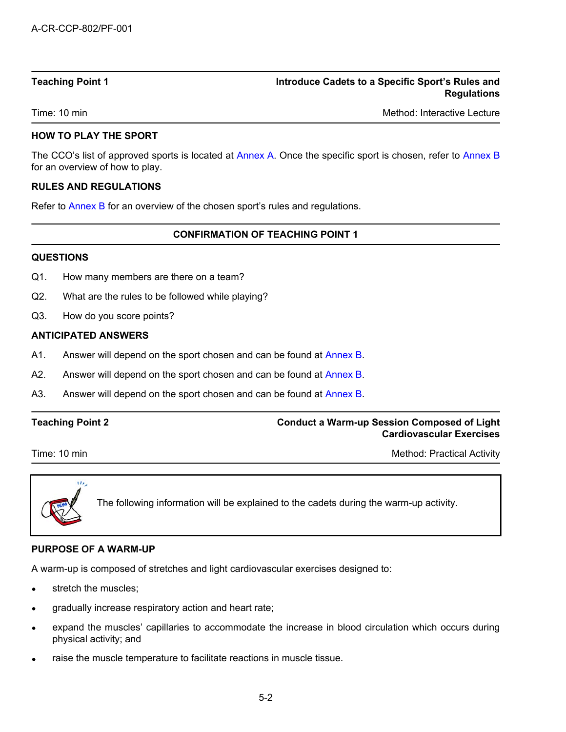# Teaching Point 1 **Introduce Cadets to a Specific Sport's Rules and Regulations**

Time: 10 min Method: Interactive Lecture Communication of the Method: Interactive Lecture

## HOW TO PLAY THE SPORT

The CCO's list of approved sports is located at Annex A. Once the specific sport is chosen, refer to Annex B for an overview of how to play.

### RULES AND REGULATIONS

Refer to Annex B for an overview of the chosen sport's rules and regulations.

## CONFIRMATION OF TEACHING POINT 1

#### **QUESTIONS**

- Q1. How many members are there on a team?
- Q2. What are the rules to be followed while playing?
- Q3. How do you score points?

## ANTICIPATED ANSWERS

- A1. Answer will depend on the sport chosen and can be found at Annex B.
- A2. Answer will depend on the sport chosen and can be found at Annex B.
- A3. Answer will depend on the sport chosen and can be found at Annex B.

Teaching Point 2 Conduct a Warm-up Session Composed of Light Cardiovascular Exercises

Time: 10 min Method: Practical Activity



The following information will be explained to the cadets during the warm-up activity.

## PURPOSE OF A WARM-UP

A warm-up is composed of stretches and light cardiovascular exercises designed to:

- stretch the muscles;
- gradually increase respiratory action and heart rate;
- expand the muscles' capillaries to accommodate the increase in blood circulation which occurs during physical activity; and
- raise the muscle temperature to facilitate reactions in muscle tissue. $\bullet$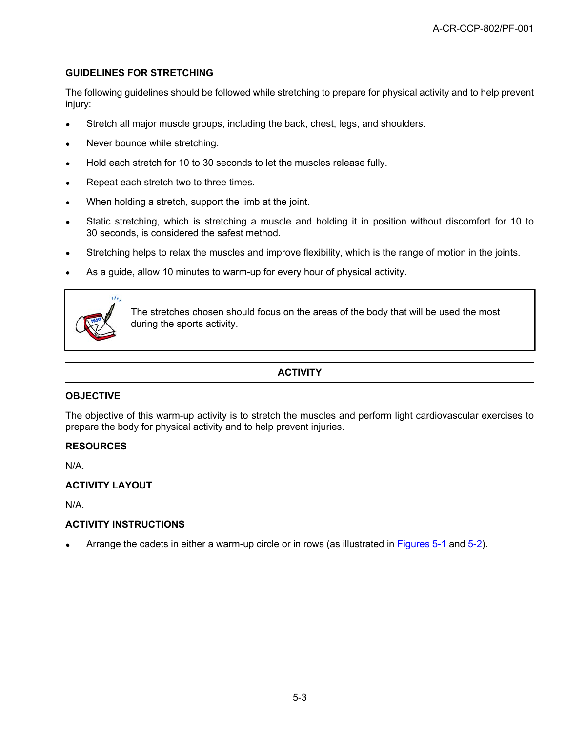## GUIDELINES FOR STRETCHING

The following guidelines should be followed while stretching to prepare for physical activity and to help prevent injury:

- Stretch all major muscle groups, including the back, chest, legs, and shoulders.
- Never bounce while stretching.
- Hold each stretch for 10 to 30 seconds to let the muscles release fully.
- Repeat each stretch two to three times.
- When holding a stretch, support the limb at the joint.
- Static stretching, which is stretching a muscle and holding it in position without discomfort for 10 to 30 seconds, is considered the safest method.
- Stretching helps to relax the muscles and improve flexibility, which is the range of motion in the joints.  $\bullet$
- As a guide, allow 10 minutes to warm-up for every hour of physical activity.



The stretches chosen should focus on the areas of the body that will be used the most during the sports activity.

# **ACTIVITY**

## **OBJECTIVE**

The objective of this warm-up activity is to stretch the muscles and perform light cardiovascular exercises to prepare the body for physical activity and to help prevent injuries.

## RESOURCES

N/A.

# ACTIVITY LAYOUT

N/A.

## ACTIVITY INSTRUCTIONS

Arrange the cadets in either a warm-up circle or in rows (as illustrated in Figures 5-1 and 5-2).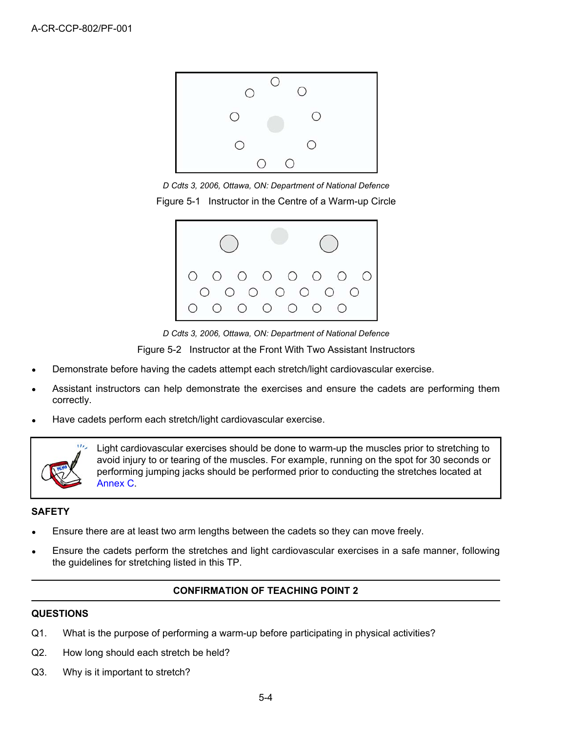

D Cdts 3, 2006, Ottawa, ON: Department of National Defence Figure 5-1 Instructor in the Centre of a Warm-up Circle



D Cdts 3, 2006, Ottawa, ON: Department of National Defence

Figure 5-2 Instructor at the Front With Two Assistant Instructors

- Demonstrate before having the cadets attempt each stretch/light cardiovascular exercise.
- Assistant instructors can help demonstrate the exercises and ensure the cadets are performing them correctly.
- Have cadets perform each stretch/light cardiovascular exercise.



Light cardiovascular exercises should be done to warm-up the muscles prior to stretching to avoid injury to or tearing of the muscles. For example, running on the spot for 30 seconds or performing jumping jacks should be performed prior to conducting the stretches located at Annex C.

## **SAFETY**

- Ensure there are at least two arm lengths between the cadets so they can move freely.
- Ensure the cadets perform the stretches and light cardiovascular exercises in a safe manner, following the guidelines for stretching listed in this TP.

## CONFIRMATION OF TEACHING POINT 2

## **QUESTIONS**

- Q1. What is the purpose of performing a warm-up before participating in physical activities?
- Q2. How long should each stretch be held?
- Q3. Why is it important to stretch?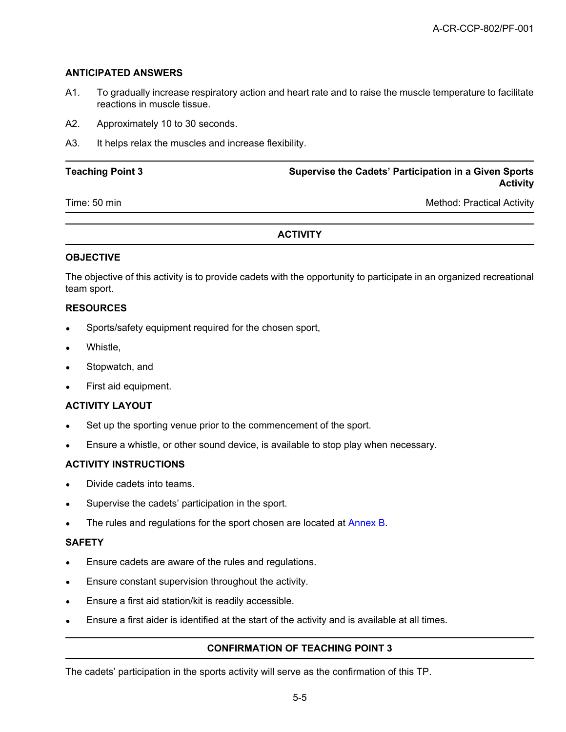## ANTICIPATED ANSWERS

- A1. To gradually increase respiratory action and heart rate and to raise the muscle temperature to facilitate reactions in muscle tissue.
- A2. Approximately 10 to 30 seconds.
- A3. It helps relax the muscles and increase flexibility.

# Teaching Point 3 Supervise the Cadets' Participation in a Given Sports **Activity**

Time: 50 min Method: Practical Activity

## **ACTIVITY**

### **OBJECTIVE**

The objective of this activity is to provide cadets with the opportunity to participate in an organized recreational team sport.

## RESOURCES

- Sports/safety equipment required for the chosen sport,
- Whistle,  $\bullet$
- Stopwatch, and  $\bullet$
- First aid equipment.

#### ACTIVITY LAYOUT

- Set up the sporting venue prior to the commencement of the sport.
- Ensure a whistle, or other sound device, is available to stop play when necessary.

## ACTIVITY INSTRUCTIONS

- Divide cadets into teams.
- Supervise the cadets' participation in the sport.
- The rules and regulations for the sport chosen are located at Annex B.  $\bullet$

#### **SAFETY**

- Ensure cadets are aware of the rules and regulations.
- Ensure constant supervision throughout the activity.  $\bullet$
- Ensure a first aid station/kit is readily accessible.  $\bullet$
- Ensure a first aider is identified at the start of the activity and is available at all times.

## CONFIRMATION OF TEACHING POINT 3

The cadets' participation in the sports activity will serve as the confirmation of this TP.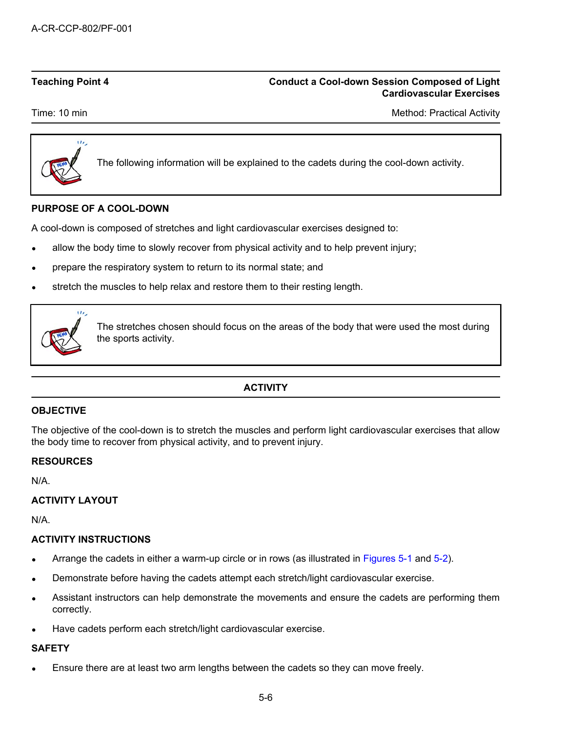# Teaching Point 4 Conduct a Cool-down Session Composed of Light Cardiovascular Exercises

Time: 10 min Method: Practical Activity



The following information will be explained to the cadets during the cool-down activity.

# PURPOSE OF A COOL-DOWN

A cool-down is composed of stretches and light cardiovascular exercises designed to:

- allow the body time to slowly recover from physical activity and to help prevent injury;
- prepare the respiratory system to return to its normal state; and
- stretch the muscles to help relax and restore them to their resting length.



The stretches chosen should focus on the areas of the body that were used the most during the sports activity.

## **ACTIVITY**

## **OBJECTIVE**

The objective of the cool-down is to stretch the muscles and perform light cardiovascular exercises that allow the body time to recover from physical activity, and to prevent injury.

## RESOURCES

N/A.

# ACTIVITY LAYOUT

N/A.

# ACTIVITY INSTRUCTIONS

- Arrange the cadets in either a warm-up circle or in rows (as illustrated in Figures 5-1 and 5-2).
- Demonstrate before having the cadets attempt each stretch/light cardiovascular exercise.
- Assistant instructors can help demonstrate the movements and ensure the cadets are performing them correctly.
- Have cadets perform each stretch/light cardiovascular exercise.

## **SAFETY**

Ensure there are at least two arm lengths between the cadets so they can move freely.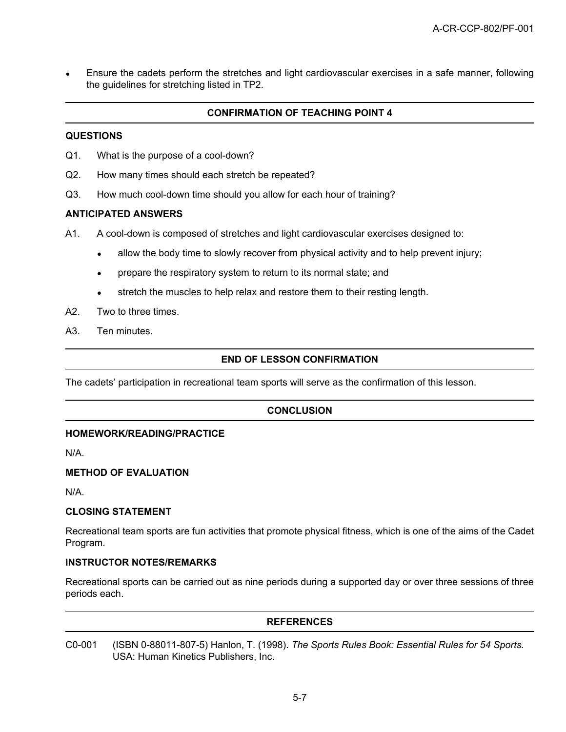Ensure the cadets perform the stretches and light cardiovascular exercises in a safe manner, following the guidelines for stretching listed in TP2.

## CONFIRMATION OF TEACHING POINT 4

## QUESTIONS

- Q1. What is the purpose of a cool-down?
- Q2. How many times should each stretch be repeated?
- Q3. How much cool-down time should you allow for each hour of training?

## ANTICIPATED ANSWERS

- A1. A cool-down is composed of stretches and light cardiovascular exercises designed to:
	- allow the body time to slowly recover from physical activity and to help prevent injury;  $\bullet$
	- prepare the respiratory system to return to its normal state; and  $\bullet$
	- stretch the muscles to help relax and restore them to their resting length.  $\bullet$
- A2. Two to three times.
- A3. Ten minutes.

## END OF LESSON CONFIRMATION

The cadets' participation in recreational team sports will serve as the confirmation of this lesson.

## **CONCLUSION**

#### HOMEWORK/READING/PRACTICE

N/A.

### METHOD OF EVALUATION

N/A.

#### CLOSING STATEMENT

Recreational team sports are fun activities that promote physical fitness, which is one of the aims of the Cadet Program.

## INSTRUCTOR NOTES/REMARKS

Recreational sports can be carried out as nine periods during a supported day or over three sessions of three periods each.

## REFERENCES

C0-001 (ISBN 0-88011-807-5) Hanlon, T. (1998). The Sports Rules Book: Essential Rules for 54 Sports. USA: Human Kinetics Publishers, Inc.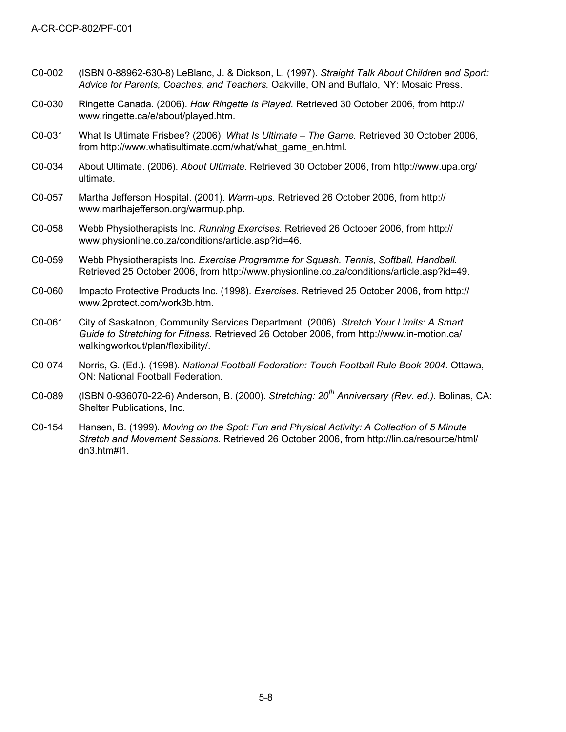- C0-002 (ISBN 0-88962-630-8) LeBlanc, J. & Dickson, L. (1997). Straight Talk About Children and Sport: Advice for Parents, Coaches, and Teachers. Oakville, ON and Buffalo, NY: Mosaic Press.
- C0-030 Ringette Canada. (2006). How Ringette Is Played. Retrieved 30 October 2006, from http:// www.ringette.ca/e/about/played.htm.
- C0-031 What Is Ultimate Frisbee? (2006). What Is Ultimate The Game. Retrieved 30 October 2006, from http://www.whatisultimate.com/what/what\_game\_en.html.
- C0-034 About Ultimate. (2006). About Ultimate. Retrieved 30 October 2006, from http://www.upa.org/ ultimate.
- C0-057 Martha Jefferson Hospital. (2001). Warm-ups. Retrieved 26 October 2006, from http:// www.marthajefferson.org/warmup.php.
- C0-058 Webb Physiotherapists Inc. Running Exercises. Retrieved 26 October 2006, from http:// www.physionline.co.za/conditions/article.asp?id=46.
- C0-059 Webb Physiotherapists Inc. Exercise Programme for Squash, Tennis, Softball, Handball. Retrieved 25 October 2006, from http://www.physionline.co.za/conditions/article.asp?id=49.
- C0-060 Impacto Protective Products Inc. (1998). Exercises. Retrieved 25 October 2006, from http:// www.2protect.com/work3b.htm.
- C0-061 City of Saskatoon, Community Services Department. (2006). Stretch Your Limits: A Smart Guide to Stretching for Fitness. Retrieved 26 October 2006, from http://www.in-motion.ca/ walkingworkout/plan/flexibility/.
- C0-074 Norris, G. (Ed.). (1998). National Football Federation: Touch Football Rule Book 2004. Ottawa, ON: National Football Federation.
- C0-089 (ISBN 0-936070-22-6) Anderson, B. (2000). Stretching:  $20^{th}$  Anniversary (Rev. ed.). Bolinas, CA: Shelter Publications, Inc.
- C0-154 Hansen, B. (1999). Moving on the Spot: Fun and Physical Activity: A Collection of 5 Minute Stretch and Movement Sessions. Retrieved 26 October 2006, from http://lin.ca/resource/html/ dn3.htm#l1.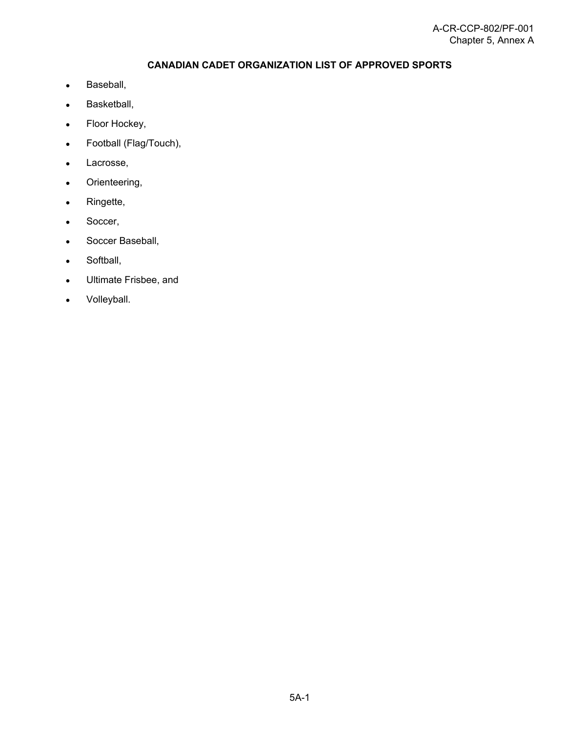# CANADIAN CADET ORGANIZATION LIST OF APPROVED SPORTS

- Baseball,  $\bullet$
- Basketball,  $\bullet$
- Floor Hockey,  $\bullet$
- Football (Flag/Touch),  $\bullet$
- Lacrosse,  $\bullet$
- Orienteering,  $\bullet$
- Ringette,  $\bullet$
- Soccer,  $\bullet$
- Soccer Baseball,  $\bullet$
- Softball,  $\bullet$
- Ultimate Frisbee, and  $\bullet$
- Volleyball. $\bullet$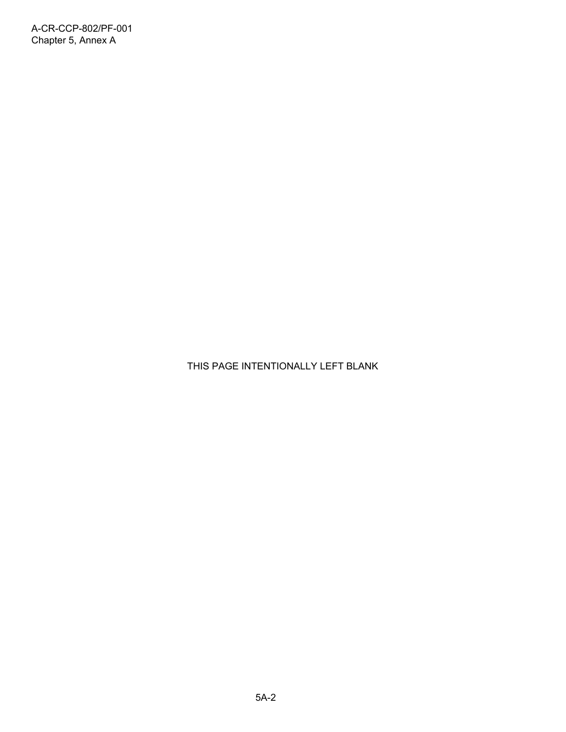THIS PAGE INTENTIONALLY LEFT BLANK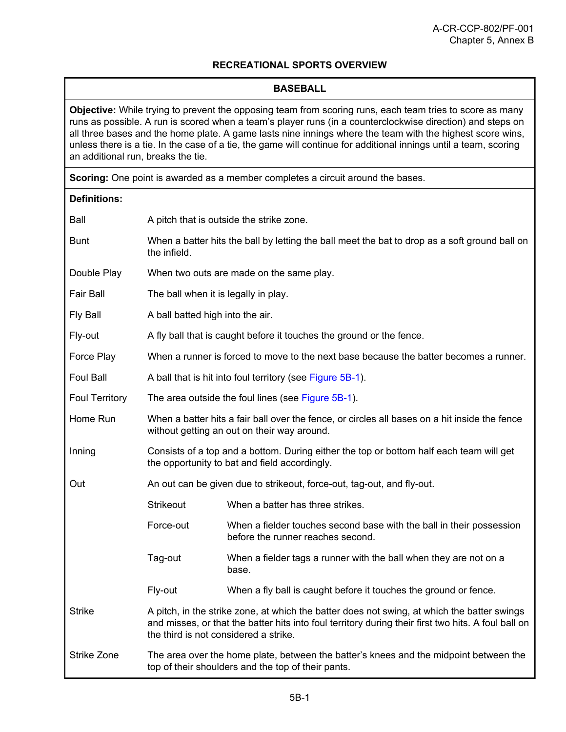# RECREATIONAL SPORTS OVERVIEW

### BASEBALL

Objective: While trying to prevent the opposing team from scoring runs, each team tries to score as many runs as possible. A run is scored when a team's player runs (in a counterclockwise direction) and steps on all three bases and the home plate. A game lasts nine innings where the team with the highest score wins, unless there is a tie. In the case of a tie, the game will continue for additional innings until a team, scoring an additional run, breaks the tie.

Scoring: One point is awarded as a member completes a circuit around the bases.

## Definitions:

| Ball                  | A pitch that is outside the strike zone.                                                                                                                                                                                                    |                                                                                                           |
|-----------------------|---------------------------------------------------------------------------------------------------------------------------------------------------------------------------------------------------------------------------------------------|-----------------------------------------------------------------------------------------------------------|
| <b>Bunt</b>           | When a batter hits the ball by letting the ball meet the bat to drop as a soft ground ball on<br>the infield.                                                                                                                               |                                                                                                           |
| Double Play           |                                                                                                                                                                                                                                             | When two outs are made on the same play.                                                                  |
| <b>Fair Ball</b>      | The ball when it is legally in play.                                                                                                                                                                                                        |                                                                                                           |
| Fly Ball              | A ball batted high into the air.                                                                                                                                                                                                            |                                                                                                           |
| Fly-out               | A fly ball that is caught before it touches the ground or the fence.                                                                                                                                                                        |                                                                                                           |
| Force Play            | When a runner is forced to move to the next base because the batter becomes a runner.                                                                                                                                                       |                                                                                                           |
| <b>Foul Ball</b>      | A ball that is hit into foul territory (see Figure 5B-1).                                                                                                                                                                                   |                                                                                                           |
| <b>Foul Territory</b> | The area outside the foul lines (see Figure 5B-1).                                                                                                                                                                                          |                                                                                                           |
| Home Run              | When a batter hits a fair ball over the fence, or circles all bases on a hit inside the fence<br>without getting an out on their way around.                                                                                                |                                                                                                           |
| Inning                | Consists of a top and a bottom. During either the top or bottom half each team will get<br>the opportunity to bat and field accordingly.                                                                                                    |                                                                                                           |
| Out                   | An out can be given due to strikeout, force-out, tag-out, and fly-out.                                                                                                                                                                      |                                                                                                           |
|                       | <b>Strikeout</b>                                                                                                                                                                                                                            | When a batter has three strikes.                                                                          |
|                       | Force-out                                                                                                                                                                                                                                   | When a fielder touches second base with the ball in their possession<br>before the runner reaches second. |
|                       | Tag-out                                                                                                                                                                                                                                     | When a fielder tags a runner with the ball when they are not on a<br>base.                                |
|                       | Fly-out                                                                                                                                                                                                                                     | When a fly ball is caught before it touches the ground or fence.                                          |
| <b>Strike</b>         | A pitch, in the strike zone, at which the batter does not swing, at which the batter swings<br>and misses, or that the batter hits into foul territory during their first two hits. A foul ball on<br>the third is not considered a strike. |                                                                                                           |
| Strike Zone           | The area over the home plate, between the batter's knees and the midpoint between the<br>top of their shoulders and the top of their pants.                                                                                                 |                                                                                                           |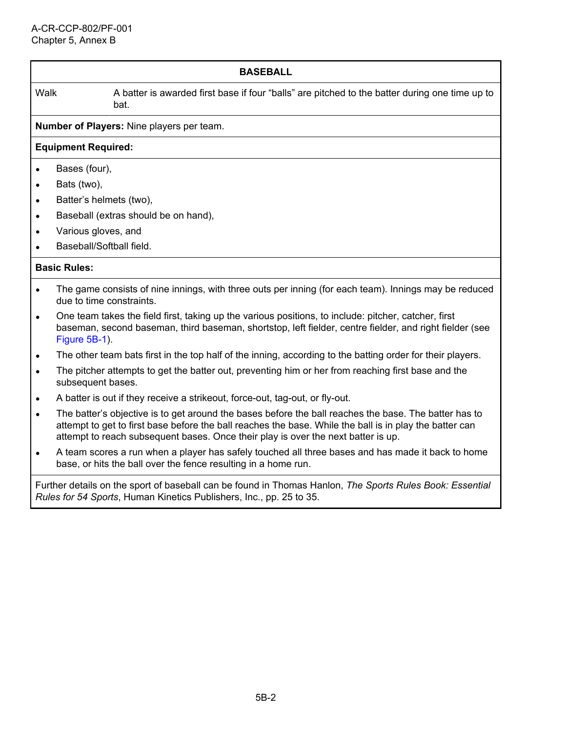## BASEBALL

Walk A batter is awarded first base if four "balls" are pitched to the batter during one time up to bat.

## Number of Players: Nine players per team.

## Equipment Required:

- Bases (four),  $\bullet$
- Bats (two),
- Batter's helmets (two),  $\bullet$
- Baseball (extras should be on hand),
- Various gloves, and
- Baseball/Softball field.

## Basic Rules:

- The game consists of nine innings, with three outs per inning (for each team). Innings may be reduced  $\bullet$ due to time constraints.
- One team takes the field first, taking up the various positions, to include: pitcher, catcher, first  $\bullet$ baseman, second baseman, third baseman, shortstop, left fielder, centre fielder, and right fielder (see Figure 5B-1).
- The other team bats first in the top half of the inning, according to the batting order for their players.  $\bullet$
- The pitcher attempts to get the batter out, preventing him or her from reaching first base and the subsequent bases.
- A batter is out if they receive a strikeout, force-out, tag-out, or fly-out.  $\bullet$
- The batter's objective is to get around the bases before the ball reaches the base. The batter has to  $\bullet$ attempt to get to first base before the ball reaches the base. While the ball is in play the batter can attempt to reach subsequent bases. Once their play is over the next batter is up.
- A team scores a run when a player has safely touched all three bases and has made it back to home  $\bullet$ base, or hits the ball over the fence resulting in a home run.

Further details on the sport of baseball can be found in Thomas Hanlon, The Sports Rules Book: Essential Rules for 54 Sports, Human Kinetics Publishers, Inc., pp. 25 to 35.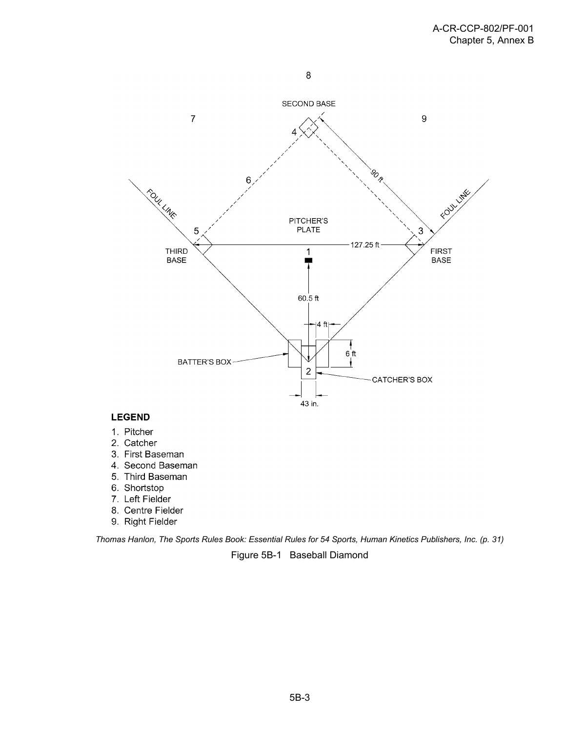

- 1. Pitcher
- 2. Catcher
- 3. First Baseman
- 4. Second Baseman
- 5. Third Baseman
- 6. Shortstop
- 7. Left Fielder
- 8. Centre Fielder
- 9. Right Fielder

Thomas Hanlon, The Sports Rules Book: Essential Rules for 54 Sports, Human Kinetics Publishers, Inc. (p. 31)

Figure 5B-1 Baseball Diamond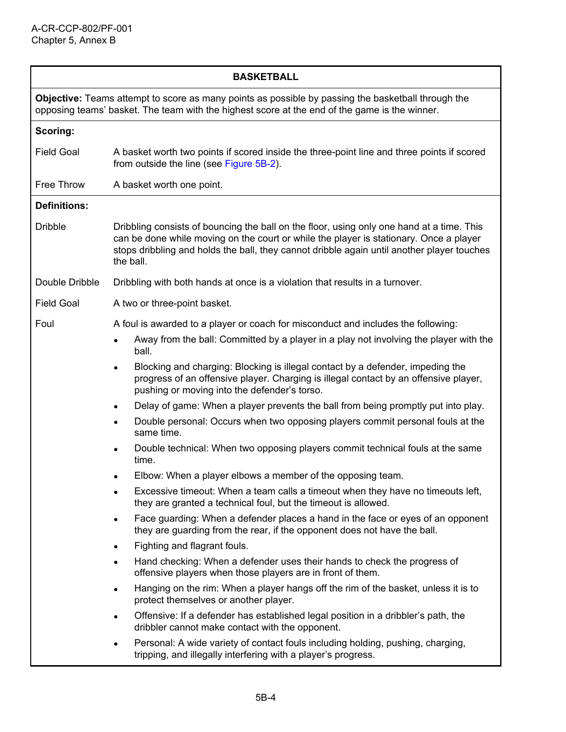|                     | <b>BASKETBALL</b>                                                                                                                                                                                                                                                                                                                                                                                                                                                                                                                                                                                                                                                                                                                                                                                                                                                                                                                                                                                                                                                                                                                                                                                                                                                                                                                                                                                                                                                                                                                                                                                                                                                                    |  |  |
|---------------------|--------------------------------------------------------------------------------------------------------------------------------------------------------------------------------------------------------------------------------------------------------------------------------------------------------------------------------------------------------------------------------------------------------------------------------------------------------------------------------------------------------------------------------------------------------------------------------------------------------------------------------------------------------------------------------------------------------------------------------------------------------------------------------------------------------------------------------------------------------------------------------------------------------------------------------------------------------------------------------------------------------------------------------------------------------------------------------------------------------------------------------------------------------------------------------------------------------------------------------------------------------------------------------------------------------------------------------------------------------------------------------------------------------------------------------------------------------------------------------------------------------------------------------------------------------------------------------------------------------------------------------------------------------------------------------------|--|--|
|                     | Objective: Teams attempt to score as many points as possible by passing the basketball through the<br>opposing teams' basket. The team with the highest score at the end of the game is the winner.                                                                                                                                                                                                                                                                                                                                                                                                                                                                                                                                                                                                                                                                                                                                                                                                                                                                                                                                                                                                                                                                                                                                                                                                                                                                                                                                                                                                                                                                                  |  |  |
| Scoring:            |                                                                                                                                                                                                                                                                                                                                                                                                                                                                                                                                                                                                                                                                                                                                                                                                                                                                                                                                                                                                                                                                                                                                                                                                                                                                                                                                                                                                                                                                                                                                                                                                                                                                                      |  |  |
| <b>Field Goal</b>   | A basket worth two points if scored inside the three-point line and three points if scored<br>from outside the line (see Figure 5B-2).                                                                                                                                                                                                                                                                                                                                                                                                                                                                                                                                                                                                                                                                                                                                                                                                                                                                                                                                                                                                                                                                                                                                                                                                                                                                                                                                                                                                                                                                                                                                               |  |  |
| Free Throw          | A basket worth one point.                                                                                                                                                                                                                                                                                                                                                                                                                                                                                                                                                                                                                                                                                                                                                                                                                                                                                                                                                                                                                                                                                                                                                                                                                                                                                                                                                                                                                                                                                                                                                                                                                                                            |  |  |
| <b>Definitions:</b> |                                                                                                                                                                                                                                                                                                                                                                                                                                                                                                                                                                                                                                                                                                                                                                                                                                                                                                                                                                                                                                                                                                                                                                                                                                                                                                                                                                                                                                                                                                                                                                                                                                                                                      |  |  |
| <b>Dribble</b>      | Dribbling consists of bouncing the ball on the floor, using only one hand at a time. This<br>can be done while moving on the court or while the player is stationary. Once a player<br>stops dribbling and holds the ball, they cannot dribble again until another player touches<br>the ball.                                                                                                                                                                                                                                                                                                                                                                                                                                                                                                                                                                                                                                                                                                                                                                                                                                                                                                                                                                                                                                                                                                                                                                                                                                                                                                                                                                                       |  |  |
| Double Dribble      | Dribbling with both hands at once is a violation that results in a turnover.                                                                                                                                                                                                                                                                                                                                                                                                                                                                                                                                                                                                                                                                                                                                                                                                                                                                                                                                                                                                                                                                                                                                                                                                                                                                                                                                                                                                                                                                                                                                                                                                         |  |  |
| <b>Field Goal</b>   | A two or three-point basket.                                                                                                                                                                                                                                                                                                                                                                                                                                                                                                                                                                                                                                                                                                                                                                                                                                                                                                                                                                                                                                                                                                                                                                                                                                                                                                                                                                                                                                                                                                                                                                                                                                                         |  |  |
| Foul                | A foul is awarded to a player or coach for misconduct and includes the following:<br>Away from the ball: Committed by a player in a play not involving the player with the<br>ball.<br>Blocking and charging: Blocking is illegal contact by a defender, impeding the<br>progress of an offensive player. Charging is illegal contact by an offensive player,<br>pushing or moving into the defender's torso.<br>Delay of game: When a player prevents the ball from being promptly put into play.<br>Double personal: Occurs when two opposing players commit personal fouls at the<br>same time.<br>Double technical: When two opposing players commit technical fouls at the same<br>time.<br>Elbow: When a player elbows a member of the opposing team.<br>Excessive timeout: When a team calls a timeout when they have no timeouts left,<br>they are granted a technical foul, but the timeout is allowed.<br>Face guarding: When a defender places a hand in the face or eyes of an opponent<br>they are guarding from the rear, if the opponent does not have the ball.<br>Fighting and flagrant fouls.<br>Hand checking: When a defender uses their hands to check the progress of<br>offensive players when those players are in front of them.<br>Hanging on the rim: When a player hangs off the rim of the basket, unless it is to<br>protect themselves or another player.<br>Offensive: If a defender has established legal position in a dribbler's path, the<br>dribbler cannot make contact with the opponent.<br>Personal: A wide variety of contact fouls including holding, pushing, charging,<br>tripping, and illegally interfering with a player's progress. |  |  |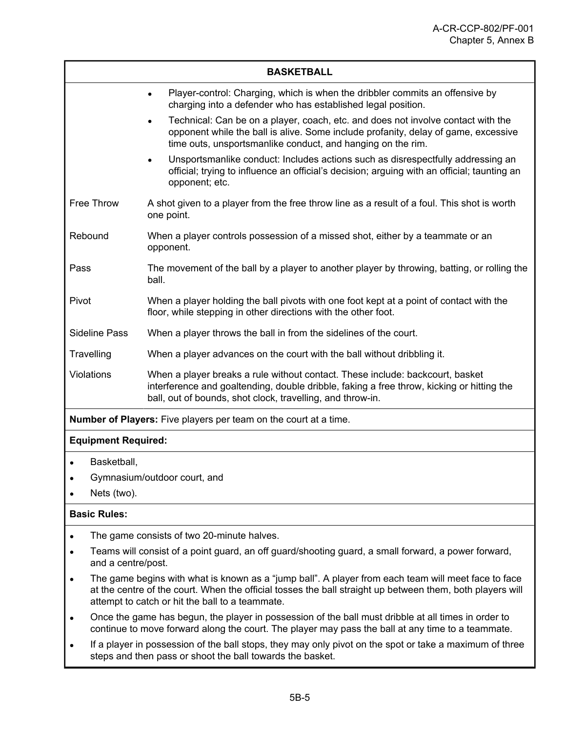|                            | <b>BASKETBALL</b>                                                                                                                                                                                                                                  |  |
|----------------------------|----------------------------------------------------------------------------------------------------------------------------------------------------------------------------------------------------------------------------------------------------|--|
|                            | Player-control: Charging, which is when the dribbler commits an offensive by<br>$\bullet$<br>charging into a defender who has established legal position.                                                                                          |  |
|                            | Technical: Can be on a player, coach, etc. and does not involve contact with the<br>$\bullet$<br>opponent while the ball is alive. Some include profanity, delay of game, excessive<br>time outs, unsportsmanlike conduct, and hanging on the rim. |  |
|                            | Unsportsmanlike conduct: Includes actions such as disrespectfully addressing an<br>$\bullet$<br>official; trying to influence an official's decision; arguing with an official; taunting an<br>opponent; etc.                                      |  |
| Free Throw                 | A shot given to a player from the free throw line as a result of a foul. This shot is worth<br>one point.                                                                                                                                          |  |
| Rebound                    | When a player controls possession of a missed shot, either by a teammate or an<br>opponent.                                                                                                                                                        |  |
| Pass                       | The movement of the ball by a player to another player by throwing, batting, or rolling the<br>ball.                                                                                                                                               |  |
| Pivot                      | When a player holding the ball pivots with one foot kept at a point of contact with the<br>floor, while stepping in other directions with the other foot.                                                                                          |  |
| Sideline Pass              | When a player throws the ball in from the sidelines of the court.                                                                                                                                                                                  |  |
| Travelling                 | When a player advances on the court with the ball without dribbling it.                                                                                                                                                                            |  |
| Violations                 | When a player breaks a rule without contact. These include: backcourt, basket<br>interference and goaltending, double dribble, faking a free throw, kicking or hitting the<br>ball, out of bounds, shot clock, travelling, and throw-in.           |  |
|                            | <b>Number of Players:</b> Five players per team on the court at a time.                                                                                                                                                                            |  |
| <b>Equipment Required:</b> |                                                                                                                                                                                                                                                    |  |

- Basketball,  $\bullet$
- Gymnasium/outdoor court, and
- Nets (two).  $\bullet$

## Basic Rules:

- $\bullet$ The game consists of two 20-minute halves.
- $\bullet$ Teams will consist of a point guard, an off guard/shooting guard, a small forward, a power forward, and a centre/post.
- The game begins with what is known as a "jump ball". A player from each team will meet face to face  $\bullet$ at the centre of the court. When the official tosses the ball straight up between them, both players will attempt to catch or hit the ball to a teammate.
- Once the game has begun, the player in possession of the ball must dribble at all times in order to  $\bullet$ continue to move forward along the court. The player may pass the ball at any time to a teammate.
- If a player in possession of the ball stops, they may only pivot on the spot or take a maximum of three  $\bullet$ steps and then pass or shoot the ball towards the basket.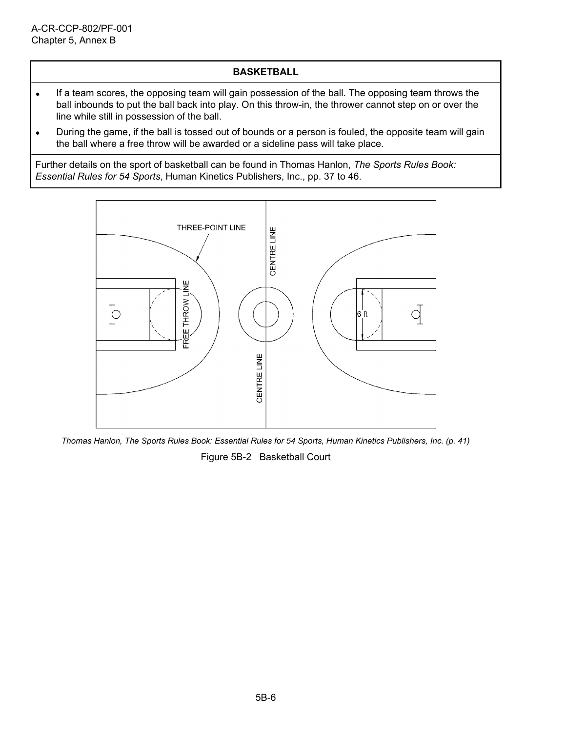# BASKETBALL

- If a team scores, the opposing team will gain possession of the ball. The opposing team throws the  $\bullet$ ball inbounds to put the ball back into play. On this throw-in, the thrower cannot step on or over the line while still in possession of the ball.
- During the game, if the ball is tossed out of bounds or a person is fouled, the opposite team will gain  $\bullet$ the ball where a free throw will be awarded or a sideline pass will take place.

Further details on the sport of basketball can be found in Thomas Hanlon, The Sports Rules Book: Essential Rules for 54 Sports, Human Kinetics Publishers, Inc., pp. 37 to 46.



Thomas Hanlon, The Sports Rules Book: Essential Rules for 54 Sports, Human Kinetics Publishers, Inc. (p. 41) Figure 5B-2 Basketball Court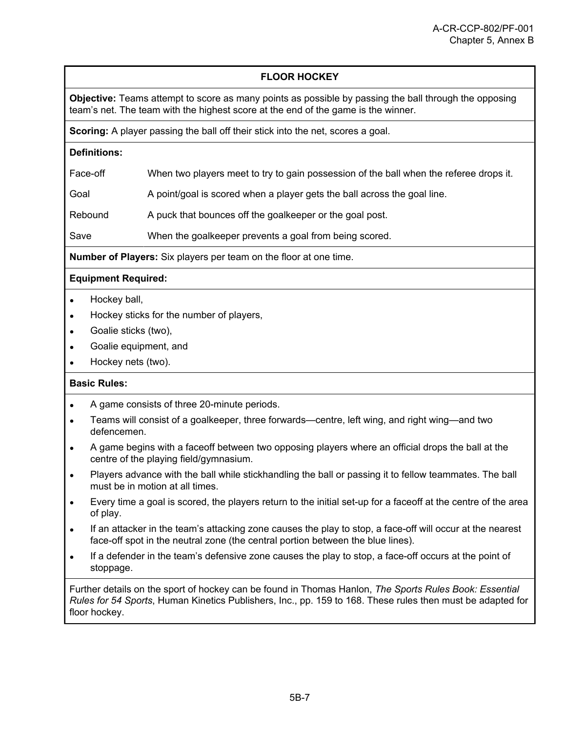# FLOOR HOCKEY

Objective: Teams attempt to score as many points as possible by passing the ball through the opposing team's net. The team with the highest score at the end of the game is the winner.

Scoring: A player passing the ball off their stick into the net, scores a goal.

## Definitions:

Face-off When two players meet to try to gain possession of the ball when the referee drops it.

Goal A point/goal is scored when a player gets the ball across the goal line.

Rebound A puck that bounces off the goalkeeper or the goal post.

Save When the goalkeeper prevents a goal from being scored.

Number of Players: Six players per team on the floor at one time.

## Equipment Required:

- $\bullet$ Hockey ball,
- Hockey sticks for the number of players,  $\bullet$
- Goalie sticks (two),
- Goalie equipment, and  $\bullet$
- Hockey nets (two).  $\bullet$

## Basic Rules:

- A game consists of three 20-minute periods.  $\bullet$
- Teams will consist of a goalkeeper, three forwards—centre, left wing, and right wing—and two  $\bullet$ defencemen.
- A game begins with a faceoff between two opposing players where an official drops the ball at the  $\bullet$ centre of the playing field/gymnasium.
- Players advance with the ball while stickhandling the ball or passing it to fellow teammates. The ball  $\bullet$ must be in motion at all times.
- Every time a goal is scored, the players return to the initial set-up for a faceoff at the centre of the area  $\bullet$ of play.
- If an attacker in the team's attacking zone causes the play to stop, a face-off will occur at the nearest  $\bullet$ face-off spot in the neutral zone (the central portion between the blue lines).
- If a defender in the team's defensive zone causes the play to stop, a face-off occurs at the point of stoppage.

Further details on the sport of hockey can be found in Thomas Hanlon, The Sports Rules Book: Essential Rules for 54 Sports, Human Kinetics Publishers, Inc., pp. 159 to 168. These rules then must be adapted for floor hockey.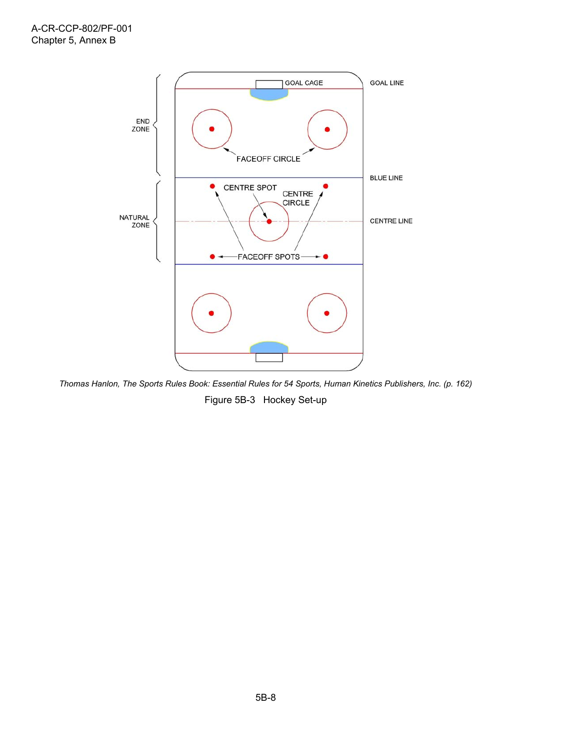

Thomas Hanlon, The Sports Rules Book: Essential Rules for 54 Sports, Human Kinetics Publishers, Inc. (p. 162) Figure 5B-3 Hockey Set-up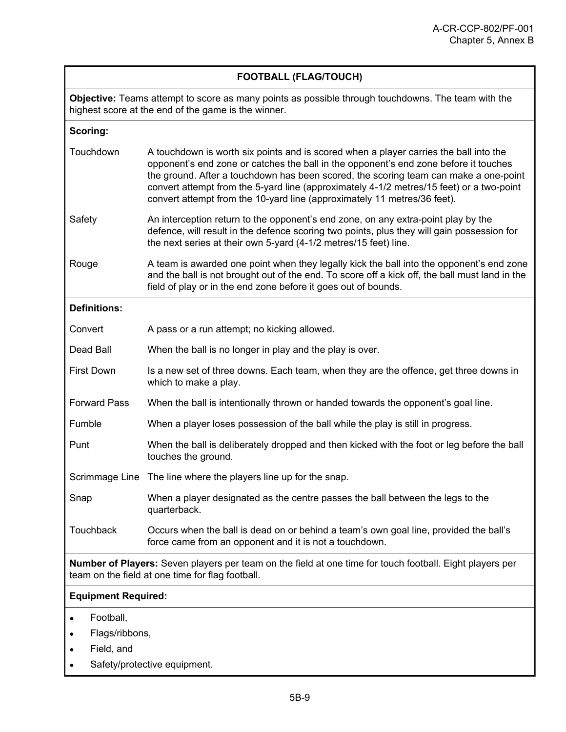Objective: Teams attempt to score as many points as possible through touchdowns. The team with the highest score at the end of the game is the winner.

| Scoring:                    |                                                                                                                                                                                                                                                                                                                                                                                                                                               |  |
|-----------------------------|-----------------------------------------------------------------------------------------------------------------------------------------------------------------------------------------------------------------------------------------------------------------------------------------------------------------------------------------------------------------------------------------------------------------------------------------------|--|
| Touchdown                   | A touchdown is worth six points and is scored when a player carries the ball into the<br>opponent's end zone or catches the ball in the opponent's end zone before it touches<br>the ground. After a touchdown has been scored, the scoring team can make a one-point<br>convert attempt from the 5-yard line (approximately 4-1/2 metres/15 feet) or a two-point<br>convert attempt from the 10-yard line (approximately 11 metres/36 feet). |  |
| Safety                      | An interception return to the opponent's end zone, on any extra-point play by the<br>defence, will result in the defence scoring two points, plus they will gain possession for<br>the next series at their own 5-yard (4-1/2 metres/15 feet) line.                                                                                                                                                                                           |  |
| Rouge                       | A team is awarded one point when they legally kick the ball into the opponent's end zone<br>and the ball is not brought out of the end. To score off a kick off, the ball must land in the<br>field of play or in the end zone before it goes out of bounds.                                                                                                                                                                                  |  |
| <b>Definitions:</b>         |                                                                                                                                                                                                                                                                                                                                                                                                                                               |  |
| Convert                     | A pass or a run attempt; no kicking allowed.                                                                                                                                                                                                                                                                                                                                                                                                  |  |
| Dead Ball                   | When the ball is no longer in play and the play is over.                                                                                                                                                                                                                                                                                                                                                                                      |  |
| <b>First Down</b>           | Is a new set of three downs. Each team, when they are the offence, get three downs in<br>which to make a play.                                                                                                                                                                                                                                                                                                                                |  |
| <b>Forward Pass</b>         | When the ball is intentionally thrown or handed towards the opponent's goal line.                                                                                                                                                                                                                                                                                                                                                             |  |
| Fumble                      | When a player loses possession of the ball while the play is still in progress.                                                                                                                                                                                                                                                                                                                                                               |  |
| Punt                        | When the ball is deliberately dropped and then kicked with the foot or leg before the ball<br>touches the ground.                                                                                                                                                                                                                                                                                                                             |  |
|                             | Scrimmage Line The line where the players line up for the snap.                                                                                                                                                                                                                                                                                                                                                                               |  |
| Snap                        | When a player designated as the centre passes the ball between the legs to the<br>quarterback.                                                                                                                                                                                                                                                                                                                                                |  |
| Touchback                   | Occurs when the ball is dead on or behind a team's own goal line, provided the ball's<br>force came from an opponent and it is not a touchdown.                                                                                                                                                                                                                                                                                               |  |
|                             | Number of Players: Seven players per team on the field at one time for touch football. Eight players per<br>team on the field at one time for flag football.                                                                                                                                                                                                                                                                                  |  |
| <b>Equipment Required:</b>  |                                                                                                                                                                                                                                                                                                                                                                                                                                               |  |
| Football,<br>Flags/ribbons, |                                                                                                                                                                                                                                                                                                                                                                                                                                               |  |

- Field, and  $\bullet$
- Safety/protective equipment. $\bullet$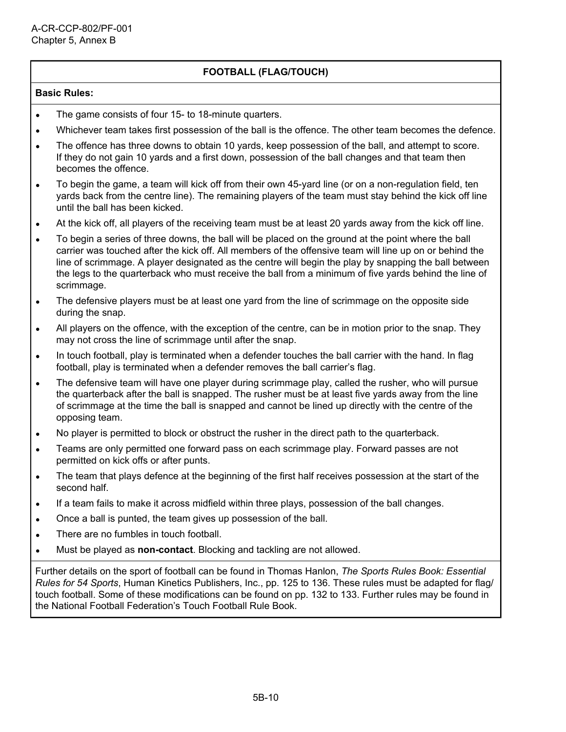# FOOTBALL (FLAG/TOUCH)

## Basic Rules:

- The game consists of four 15- to 18-minute quarters.  $\bullet$
- Whichever team takes first possession of the ball is the offence. The other team becomes the defence.  $\bullet$
- The offence has three downs to obtain 10 yards, keep possession of the ball, and attempt to score. If they do not gain 10 yards and a first down, possession of the ball changes and that team then becomes the offence.
- To begin the game, a team will kick off from their own 45-yard line (or on a non-regulation field, ten  $\bullet$ yards back from the centre line). The remaining players of the team must stay behind the kick off line until the ball has been kicked.
- At the kick off, all players of the receiving team must be at least 20 yards away from the kick off line.  $\bullet$
- To begin a series of three downs, the ball will be placed on the ground at the point where the ball  $\bullet$ carrier was touched after the kick off. All members of the offensive team will line up on or behind the line of scrimmage. A player designated as the centre will begin the play by snapping the ball between the legs to the quarterback who must receive the ball from a minimum of five yards behind the line of scrimmage.
- The defensive players must be at least one yard from the line of scrimmage on the opposite side  $\bullet$ during the snap.
- All players on the offence, with the exception of the centre, can be in motion prior to the snap. They  $\bullet$ may not cross the line of scrimmage until after the snap.
- In touch football, play is terminated when a defender touches the ball carrier with the hand. In flag football, play is terminated when a defender removes the ball carrier's flag.
- The defensive team will have one player during scrimmage play, called the rusher, who will pursue  $\bullet$ the quarterback after the ball is snapped. The rusher must be at least five yards away from the line of scrimmage at the time the ball is snapped and cannot be lined up directly with the centre of the opposing team.
- No player is permitted to block or obstruct the rusher in the direct path to the quarterback.  $\bullet$
- Teams are only permitted one forward pass on each scrimmage play. Forward passes are not  $\bullet$ permitted on kick offs or after punts.
- The team that plays defence at the beginning of the first half receives possession at the start of the  $\bullet$ second half.
- If a team fails to make it across midfield within three plays, possession of the ball changes.  $\bullet$
- Once a ball is punted, the team gives up possession of the ball.
- There are no fumbles in touch football.
- Must be played as non-contact. Blocking and tackling are not allowed.  $\bullet$

Further details on the sport of football can be found in Thomas Hanlon, The Sports Rules Book: Essential Rules for 54 Sports, Human Kinetics Publishers, Inc., pp. 125 to 136. These rules must be adapted for flag/ touch football. Some of these modifications can be found on pp. 132 to 133. Further rules may be found in the National Football Federation's Touch Football Rule Book.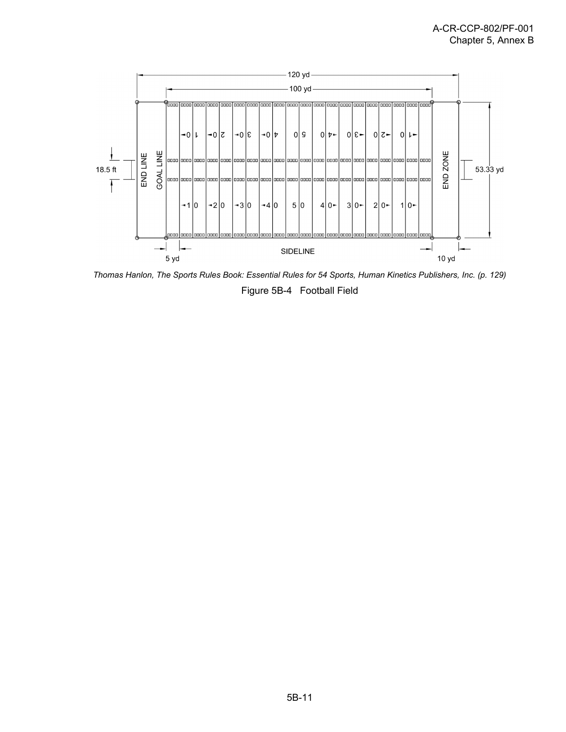

Thomas Hanlon, The Sports Rules Book: Essential Rules for 54 Sports, Human Kinetics Publishers, Inc. (p. 129) Figure 5B-4 Football Field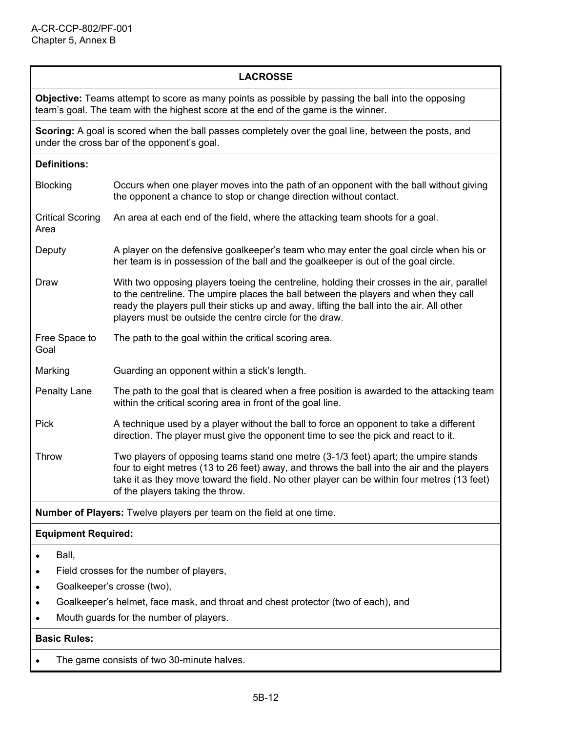# LACROSSE

Objective: Teams attempt to score as many points as possible by passing the ball into the opposing team's goal. The team with the highest score at the end of the game is the winner.

Scoring: A goal is scored when the ball passes completely over the goal line, between the posts, and under the cross bar of the opponent's goal.

| <b>Definitions:</b>                                                                    |                                                                                                                                                                                                                                                                                                                                             |  |
|----------------------------------------------------------------------------------------|---------------------------------------------------------------------------------------------------------------------------------------------------------------------------------------------------------------------------------------------------------------------------------------------------------------------------------------------|--|
| <b>Blocking</b>                                                                        | Occurs when one player moves into the path of an opponent with the ball without giving<br>the opponent a chance to stop or change direction without contact.                                                                                                                                                                                |  |
| <b>Critical Scoring</b><br>Area                                                        | An area at each end of the field, where the attacking team shoots for a goal.                                                                                                                                                                                                                                                               |  |
| Deputy                                                                                 | A player on the defensive goalkeeper's team who may enter the goal circle when his or<br>her team is in possession of the ball and the goalkeeper is out of the goal circle.                                                                                                                                                                |  |
| Draw                                                                                   | With two opposing players toeing the centreline, holding their crosses in the air, parallel<br>to the centreline. The umpire places the ball between the players and when they call<br>ready the players pull their sticks up and away, lifting the ball into the air. All other<br>players must be outside the centre circle for the draw. |  |
| Free Space to<br>Goal                                                                  | The path to the goal within the critical scoring area.                                                                                                                                                                                                                                                                                      |  |
| Marking                                                                                | Guarding an opponent within a stick's length.                                                                                                                                                                                                                                                                                               |  |
| <b>Penalty Lane</b>                                                                    | The path to the goal that is cleared when a free position is awarded to the attacking team<br>within the critical scoring area in front of the goal line.                                                                                                                                                                                   |  |
| <b>Pick</b>                                                                            | A technique used by a player without the ball to force an opponent to take a different<br>direction. The player must give the opponent time to see the pick and react to it.                                                                                                                                                                |  |
| Throw                                                                                  | Two players of opposing teams stand one metre (3-1/3 feet) apart; the umpire stands<br>four to eight metres (13 to 26 feet) away, and throws the ball into the air and the players<br>take it as they move toward the field. No other player can be within four metres (13 feet)<br>of the players taking the throw.                        |  |
| <b>Number of Players:</b> Twelve players per team on the field at one time.            |                                                                                                                                                                                                                                                                                                                                             |  |
| <b>Equipment Required:</b>                                                             |                                                                                                                                                                                                                                                                                                                                             |  |
| Ball,                                                                                  |                                                                                                                                                                                                                                                                                                                                             |  |
| Field crosses for the number of players,<br>$\bullet$                                  |                                                                                                                                                                                                                                                                                                                                             |  |
| Goalkeeper's crosse (two),<br>٠                                                        |                                                                                                                                                                                                                                                                                                                                             |  |
| Goalkeeper's helmet, face mask, and throat and chest protector (two of each), and<br>٠ |                                                                                                                                                                                                                                                                                                                                             |  |
| Mouth guards for the number of players.<br>٠                                           |                                                                                                                                                                                                                                                                                                                                             |  |
| <b>Basic Rules:</b>                                                                    |                                                                                                                                                                                                                                                                                                                                             |  |
|                                                                                        |                                                                                                                                                                                                                                                                                                                                             |  |

The game consists of two 30-minute halves.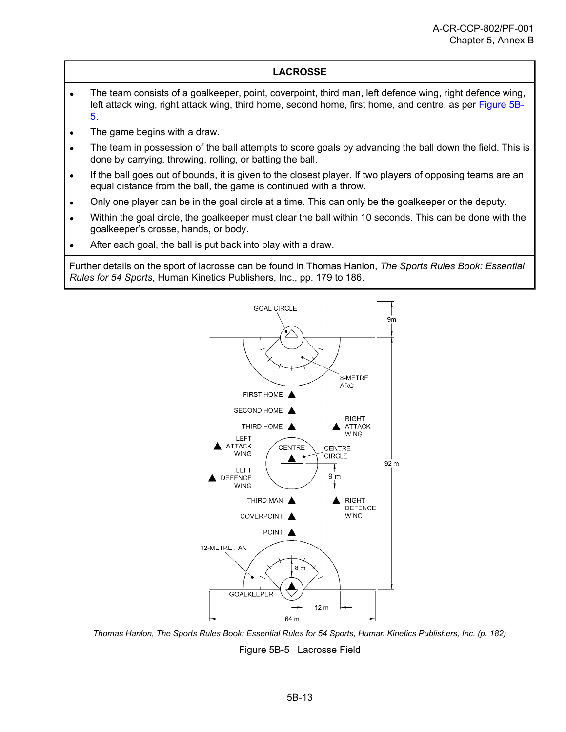# LACROSSE

- The team consists of a goalkeeper, point, coverpoint, third man, left defence wing, right defence wing,  $\bullet$ left attack wing, right attack wing, third home, second home, first home, and centre, as per Figure 5B-5.
- The game begins with a draw.  $\bullet$
- The team in possession of the ball attempts to score goals by advancing the ball down the field. This is  $\bullet$ done by carrying, throwing, rolling, or batting the ball.
- If the ball goes out of bounds, it is given to the closest player. If two players of opposing teams are an  $\bullet$ equal distance from the ball, the game is continued with a throw.
- Only one player can be in the goal circle at a time. This can only be the goalkeeper or the deputy.  $\bullet$
- Within the goal circle, the goalkeeper must clear the ball within 10 seconds. This can be done with the  $\bullet$ goalkeeper's crosse, hands, or body.
- After each goal, the ball is put back into play with a draw.  $\bullet$

Further details on the sport of lacrosse can be found in Thomas Hanlon, The Sports Rules Book: Essential Rules for 54 Sports, Human Kinetics Publishers, Inc., pp. 179 to 186.



Thomas Hanlon, The Sports Rules Book: Essential Rules for 54 Sports, Human Kinetics Publishers, Inc. (p. 182) Figure 5B-5 Lacrosse Field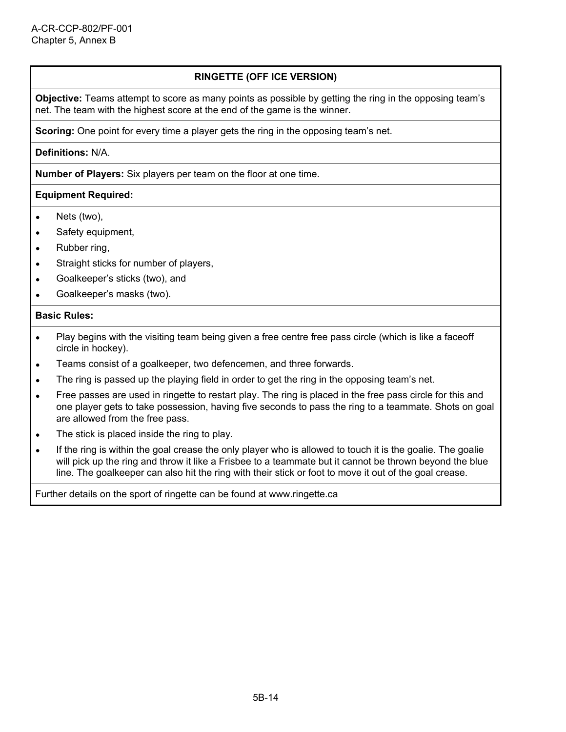# RINGETTE (OFF ICE VERSION)

Objective: Teams attempt to score as many points as possible by getting the ring in the opposing team's net. The team with the highest score at the end of the game is the winner.

Scoring: One point for every time a player gets the ring in the opposing team's net.

### Definitions: N/A.

Number of Players: Six players per team on the floor at one time.

### Equipment Required:

- $\bullet$ Nets (two),
- Safety equipment,
- Rubber ring,  $\bullet$
- Straight sticks for number of players,
- Goalkeeper's sticks (two), and  $\bullet$
- Goalkeeper's masks (two).  $\bullet$

### Basic Rules:

- Play begins with the visiting team being given a free centre free pass circle (which is like a faceoff  $\bullet$ circle in hockey).
- Teams consist of a goalkeeper, two defencemen, and three forwards.  $\bullet$
- The ring is passed up the playing field in order to get the ring in the opposing team's net.
- Free passes are used in ringette to restart play. The ring is placed in the free pass circle for this and  $\bullet$ one player gets to take possession, having five seconds to pass the ring to a teammate. Shots on goal are allowed from the free pass.
- The stick is placed inside the ring to play.  $\bullet$
- If the ring is within the goal crease the only player who is allowed to touch it is the goalie. The goalie will pick up the ring and throw it like a Frisbee to a teammate but it cannot be thrown beyond the blue line. The goalkeeper can also hit the ring with their stick or foot to move it out of the goal crease.

Further details on the sport of ringette can be found at www.ringette.ca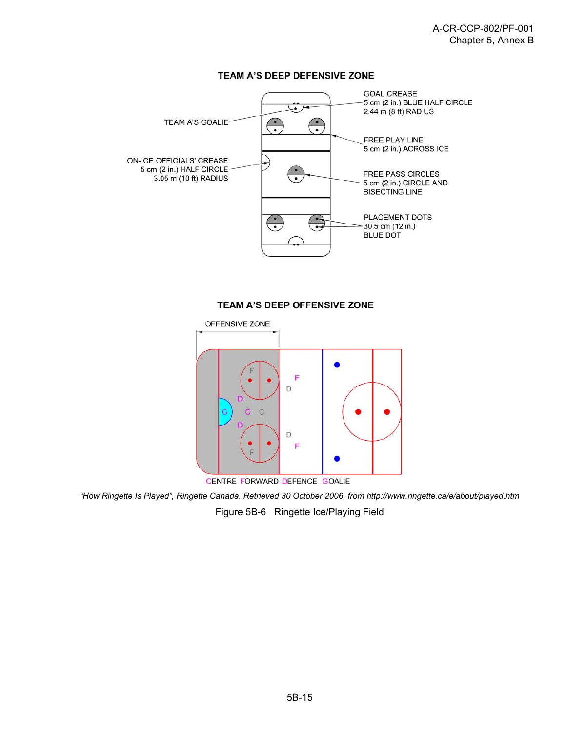

### TEAM A'S DEEP DEFENSIVE ZONE





CENTRE FORWARD DEFENCE GOALIE

"How Ringette Is Played", Ringette Canada. Retrieved 30 October 2006, from http://www.ringette.ca/e/about/played.htm

Figure 5B-6 Ringette Ice/Playing Field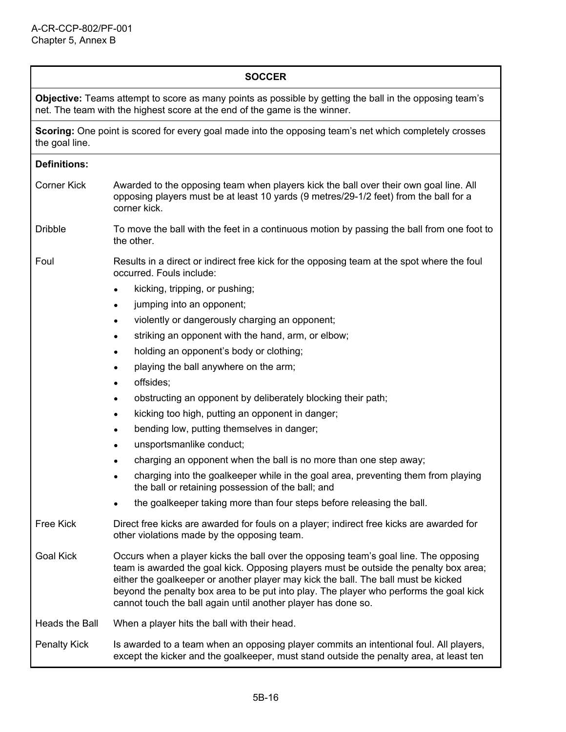### **SOCCER**

Objective: Teams attempt to score as many points as possible by getting the ball in the opposing team's net. The team with the highest score at the end of the game is the winner.

Scoring: One point is scored for every goal made into the opposing team's net which completely crosses the goal line.

| <b>Definitions:</b> |                                                                                                                                                                                                                                                                                                                                                                                                                                                                                                                                                                                                                                                                                                                                                                                                                                                                                                                                                                                                                       |  |
|---------------------|-----------------------------------------------------------------------------------------------------------------------------------------------------------------------------------------------------------------------------------------------------------------------------------------------------------------------------------------------------------------------------------------------------------------------------------------------------------------------------------------------------------------------------------------------------------------------------------------------------------------------------------------------------------------------------------------------------------------------------------------------------------------------------------------------------------------------------------------------------------------------------------------------------------------------------------------------------------------------------------------------------------------------|--|
| <b>Corner Kick</b>  | Awarded to the opposing team when players kick the ball over their own goal line. All<br>opposing players must be at least 10 yards (9 metres/29-1/2 feet) from the ball for a<br>corner kick.                                                                                                                                                                                                                                                                                                                                                                                                                                                                                                                                                                                                                                                                                                                                                                                                                        |  |
| <b>Dribble</b>      | To move the ball with the feet in a continuous motion by passing the ball from one foot to<br>the other.                                                                                                                                                                                                                                                                                                                                                                                                                                                                                                                                                                                                                                                                                                                                                                                                                                                                                                              |  |
| Foul                | Results in a direct or indirect free kick for the opposing team at the spot where the foul<br>occurred. Fouls include:<br>kicking, tripping, or pushing;<br>$\bullet$<br>jumping into an opponent;<br>$\bullet$<br>violently or dangerously charging an opponent;<br>$\bullet$<br>striking an opponent with the hand, arm, or elbow;<br>٠<br>holding an opponent's body or clothing;<br>$\bullet$<br>playing the ball anywhere on the arm;<br>$\bullet$<br>offsides;<br>٠<br>obstructing an opponent by deliberately blocking their path;<br>٠<br>kicking too high, putting an opponent in danger;<br>$\bullet$<br>bending low, putting themselves in danger;<br>٠<br>unsportsmanlike conduct;<br>$\bullet$<br>charging an opponent when the ball is no more than one step away;<br>٠<br>charging into the goalkeeper while in the goal area, preventing them from playing<br>$\bullet$<br>the ball or retaining possession of the ball; and<br>the goalkeeper taking more than four steps before releasing the ball. |  |
| Free Kick           | Direct free kicks are awarded for fouls on a player; indirect free kicks are awarded for<br>other violations made by the opposing team.                                                                                                                                                                                                                                                                                                                                                                                                                                                                                                                                                                                                                                                                                                                                                                                                                                                                               |  |
| <b>Goal Kick</b>    | Occurs when a player kicks the ball over the opposing team's goal line. The opposing<br>team is awarded the goal kick. Opposing players must be outside the penalty box area;<br>either the goalkeeper or another player may kick the ball. The ball must be kicked<br>beyond the penalty box area to be put into play. The player who performs the goal kick<br>cannot touch the ball again until another player has done so.                                                                                                                                                                                                                                                                                                                                                                                                                                                                                                                                                                                        |  |
| Heads the Ball      | When a player hits the ball with their head.                                                                                                                                                                                                                                                                                                                                                                                                                                                                                                                                                                                                                                                                                                                                                                                                                                                                                                                                                                          |  |
| <b>Penalty Kick</b> | Is awarded to a team when an opposing player commits an intentional foul. All players,<br>except the kicker and the goalkeeper, must stand outside the penalty area, at least ten                                                                                                                                                                                                                                                                                                                                                                                                                                                                                                                                                                                                                                                                                                                                                                                                                                     |  |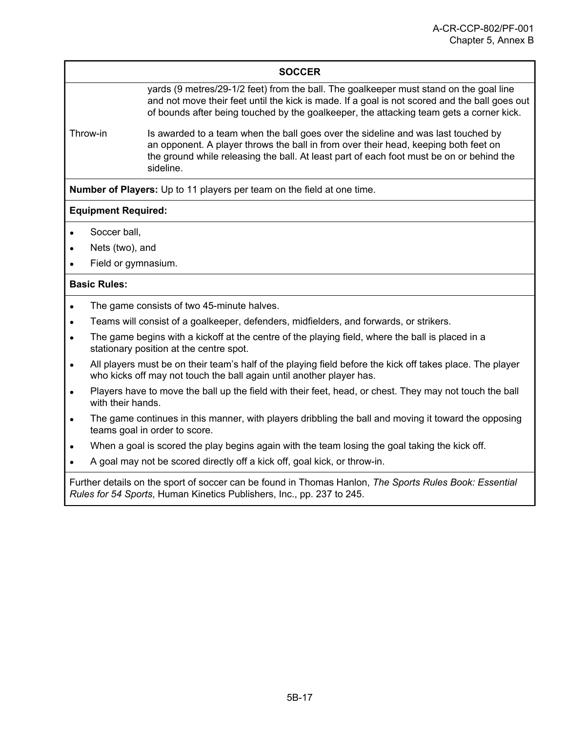## **SOCCER**

yards (9 metres/29-1/2 feet) from the ball. The goalkeeper must stand on the goal line and not move their feet until the kick is made. If a goal is not scored and the ball goes out of bounds after being touched by the goalkeeper, the attacking team gets a corner kick.

Throw-in Is awarded to a team when the ball goes over the sideline and was last touched by an opponent. A player throws the ball in from over their head, keeping both feet on the ground while releasing the ball. At least part of each foot must be on or behind the sideline.

Number of Players: Up to 11 players per team on the field at one time.

## Equipment Required:

- $\bullet$ Soccer ball,
- $\bullet$ Nets (two), and
- Field or gymnasium.

## Basic Rules:

- The game consists of two 45-minute halves.  $\bullet$
- Teams will consist of a goalkeeper, defenders, midfielders, and forwards, or strikers.
- The game begins with a kickoff at the centre of the playing field, where the ball is placed in a  $\bullet$ stationary position at the centre spot.
- All players must be on their team's half of the playing field before the kick off takes place. The player  $\bullet$ who kicks off may not touch the ball again until another player has.
- Players have to move the ball up the field with their feet, head, or chest. They may not touch the ball  $\bullet$ with their hands.
- The game continues in this manner, with players dribbling the ball and moving it toward the opposing  $\bullet$ teams goal in order to score.
- When a goal is scored the play begins again with the team losing the goal taking the kick off.  $\bullet$
- A goal may not be scored directly off a kick off, goal kick, or throw-in.

Further details on the sport of soccer can be found in Thomas Hanlon, The Sports Rules Book: Essential Rules for 54 Sports, Human Kinetics Publishers, Inc., pp. 237 to 245.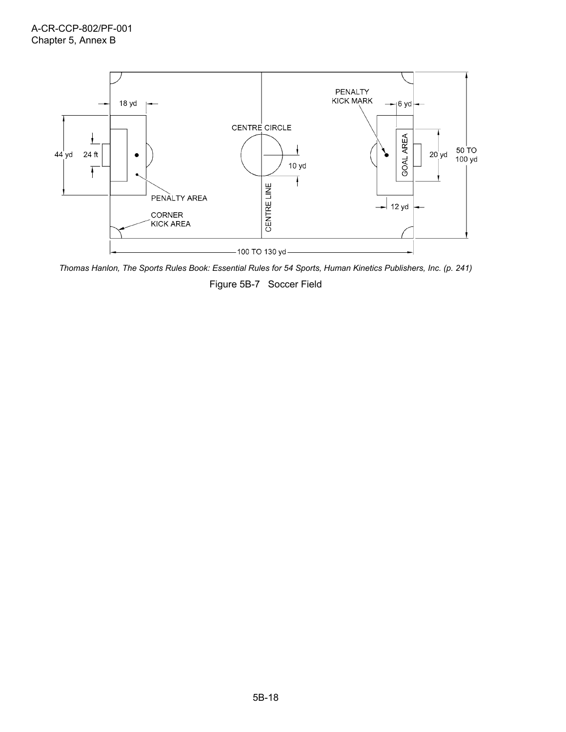

Thomas Hanlon, The Sports Rules Book: Essential Rules for 54 Sports, Human Kinetics Publishers, Inc. (p. 241) Figure 5B-7 Soccer Field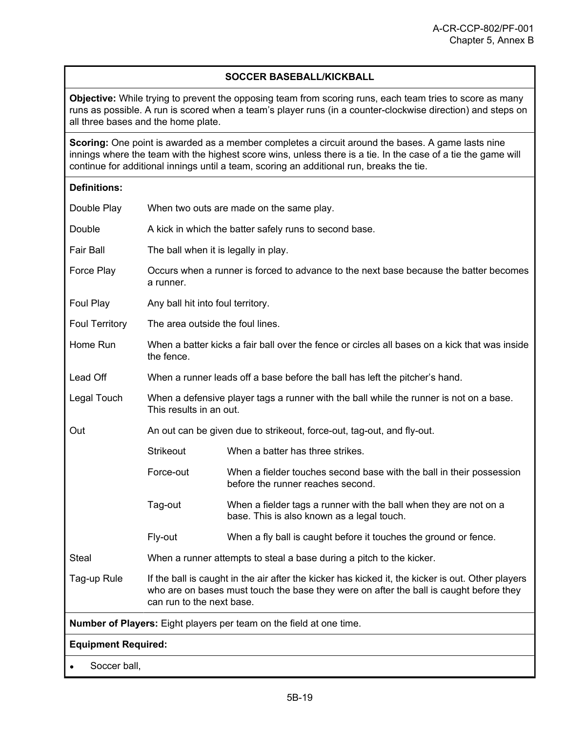# SOCCER BASEBALL/KICKBALL

Objective: While trying to prevent the opposing team from scoring runs, each team tries to score as many runs as possible. A run is scored when a team's player runs (in a counter-clockwise direction) and steps on all three bases and the home plate.

Scoring: One point is awarded as a member completes a circuit around the bases. A game lasts nine innings where the team with the highest score wins, unless there is a tie. In the case of a tie the game will continue for additional innings until a team, scoring an additional run, breaks the tie.

#### Definitions:

| Double Play                                                                | When two outs are made on the same play.                                                                                                                                                                                 |                                                                                                                 |
|----------------------------------------------------------------------------|--------------------------------------------------------------------------------------------------------------------------------------------------------------------------------------------------------------------------|-----------------------------------------------------------------------------------------------------------------|
| Double                                                                     | A kick in which the batter safely runs to second base.                                                                                                                                                                   |                                                                                                                 |
| <b>Fair Ball</b>                                                           | The ball when it is legally in play.                                                                                                                                                                                     |                                                                                                                 |
| Force Play                                                                 | a runner.                                                                                                                                                                                                                | Occurs when a runner is forced to advance to the next base because the batter becomes                           |
| Foul Play                                                                  | Any ball hit into foul territory.                                                                                                                                                                                        |                                                                                                                 |
| <b>Foul Territory</b>                                                      | The area outside the foul lines.                                                                                                                                                                                         |                                                                                                                 |
| Home Run                                                                   | When a batter kicks a fair ball over the fence or circles all bases on a kick that was inside<br>the fence.                                                                                                              |                                                                                                                 |
| Lead Off                                                                   | When a runner leads off a base before the ball has left the pitcher's hand.                                                                                                                                              |                                                                                                                 |
| Legal Touch                                                                | When a defensive player tags a runner with the ball while the runner is not on a base.<br>This results in an out.                                                                                                        |                                                                                                                 |
| Out                                                                        | An out can be given due to strikeout, force-out, tag-out, and fly-out.                                                                                                                                                   |                                                                                                                 |
|                                                                            | <b>Strikeout</b>                                                                                                                                                                                                         | When a batter has three strikes.                                                                                |
|                                                                            | Force-out                                                                                                                                                                                                                | When a fielder touches second base with the ball in their possession<br>before the runner reaches second.       |
|                                                                            | Tag-out                                                                                                                                                                                                                  | When a fielder tags a runner with the ball when they are not on a<br>base. This is also known as a legal touch. |
|                                                                            | Fly-out                                                                                                                                                                                                                  | When a fly ball is caught before it touches the ground or fence.                                                |
| <b>Steal</b>                                                               | When a runner attempts to steal a base during a pitch to the kicker.                                                                                                                                                     |                                                                                                                 |
| Tag-up Rule                                                                | If the ball is caught in the air after the kicker has kicked it, the kicker is out. Other players<br>who are on bases must touch the base they were on after the ball is caught before they<br>can run to the next base. |                                                                                                                 |
| <b>Number of Players:</b> Eight players per team on the field at one time. |                                                                                                                                                                                                                          |                                                                                                                 |
| <b>Equipment Required:</b>                                                 |                                                                                                                                                                                                                          |                                                                                                                 |
|                                                                            |                                                                                                                                                                                                                          |                                                                                                                 |

Soccer ball,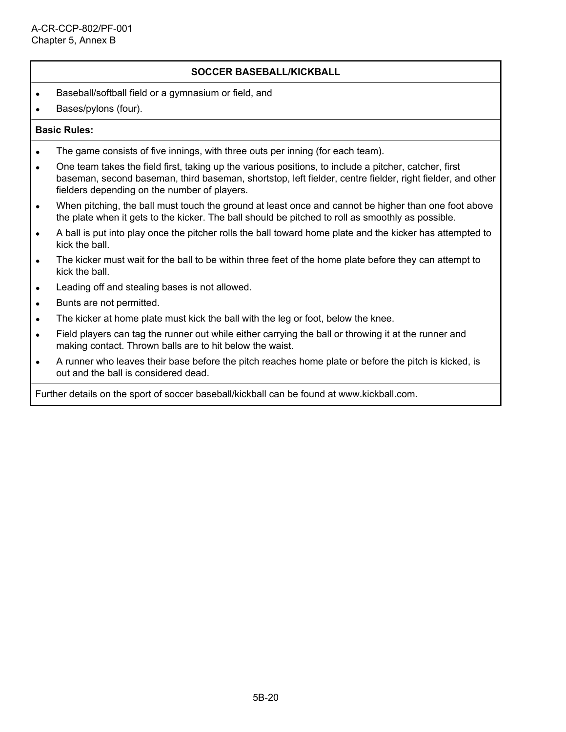## SOCCER BASEBALL/KICKBALL

- Baseball/softball field or a gymnasium or field, and  $\bullet$
- Bases/pylons (four).  $\bullet$

## Basic Rules:

- The game consists of five innings, with three outs per inning (for each team).  $\bullet$
- One team takes the field first, taking up the various positions, to include a pitcher, catcher, first  $\bullet$ baseman, second baseman, third baseman, shortstop, left fielder, centre fielder, right fielder, and other fielders depending on the number of players.
- When pitching, the ball must touch the ground at least once and cannot be higher than one foot above  $\bullet$ the plate when it gets to the kicker. The ball should be pitched to roll as smoothly as possible.
- A ball is put into play once the pitcher rolls the ball toward home plate and the kicker has attempted to  $\bullet$ kick the ball.
- The kicker must wait for the ball to be within three feet of the home plate before they can attempt to  $\bullet$ kick the ball.
- Leading off and stealing bases is not allowed.  $\bullet$
- Bunts are not permitted.
- The kicker at home plate must kick the ball with the leg or foot, below the knee.  $\bullet$
- Field players can tag the runner out while either carrying the ball or throwing it at the runner and  $\bullet$ making contact. Thrown balls are to hit below the waist.
- A runner who leaves their base before the pitch reaches home plate or before the pitch is kicked, is out and the ball is considered dead.

Further details on the sport of soccer baseball/kickball can be found at www.kickball.com.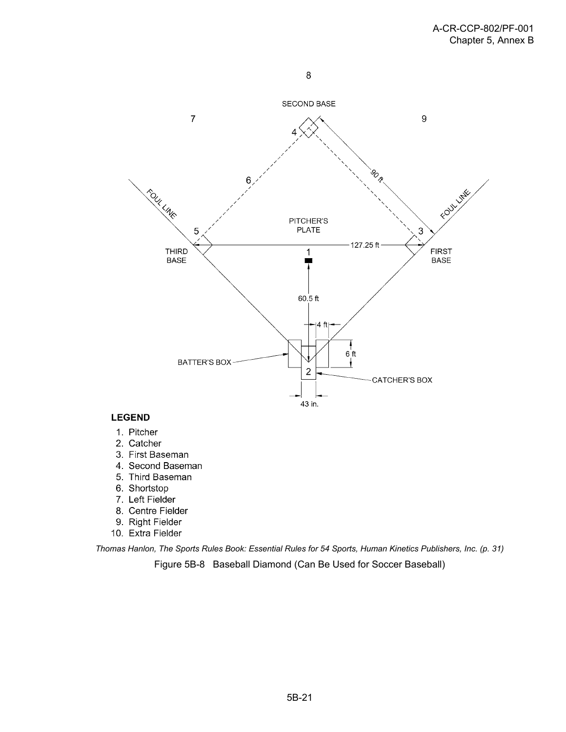

# **LEGEND**

- 1. Pitcher
- 2. Catcher
- 3. First Baseman
- 4. Second Baseman
- 5. Third Baseman
- 6. Shortstop
- 7. Left Fielder
- 8. Centre Fielder
- 9. Right Fielder
- 10. Extra Fielder

Thomas Hanlon, The Sports Rules Book: Essential Rules for 54 Sports, Human Kinetics Publishers, Inc. (p. 31)

Figure 5B-8 Baseball Diamond (Can Be Used for Soccer Baseball)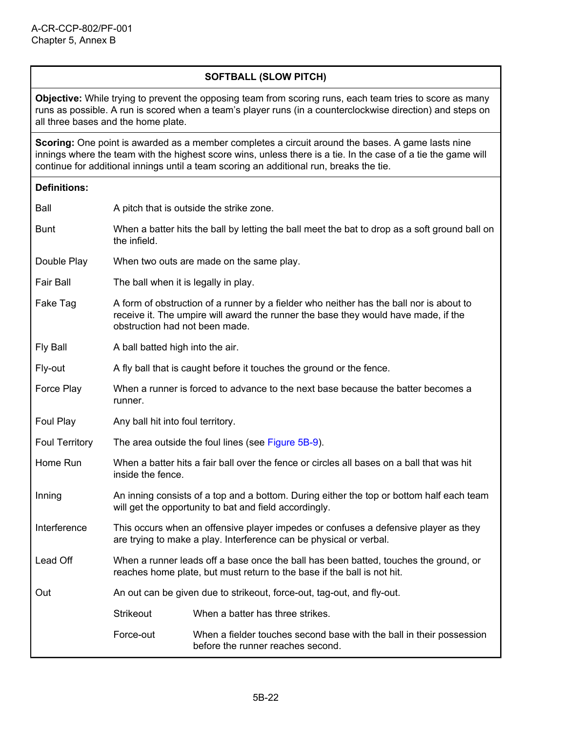# SOFTBALL (SLOW PITCH)

Objective: While trying to prevent the opposing team from scoring runs, each team tries to score as many runs as possible. A run is scored when a team's player runs (in a counterclockwise direction) and steps on all three bases and the home plate.

Scoring: One point is awarded as a member completes a circuit around the bases. A game lasts nine innings where the team with the highest score wins, unless there is a tie. In the case of a tie the game will continue for additional innings until a team scoring an additional run, breaks the tie.

## Definitions:

| Ball                  | A pitch that is outside the strike zone.                                                                                                                                                                        |                                                                                                           |  |
|-----------------------|-----------------------------------------------------------------------------------------------------------------------------------------------------------------------------------------------------------------|-----------------------------------------------------------------------------------------------------------|--|
| <b>Bunt</b>           | When a batter hits the ball by letting the ball meet the bat to drop as a soft ground ball on<br>the infield.                                                                                                   |                                                                                                           |  |
| Double Play           |                                                                                                                                                                                                                 | When two outs are made on the same play.                                                                  |  |
| <b>Fair Ball</b>      | The ball when it is legally in play.                                                                                                                                                                            |                                                                                                           |  |
| Fake Tag              | A form of obstruction of a runner by a fielder who neither has the ball nor is about to<br>receive it. The umpire will award the runner the base they would have made, if the<br>obstruction had not been made. |                                                                                                           |  |
| Fly Ball              | A ball batted high into the air.                                                                                                                                                                                |                                                                                                           |  |
| Fly-out               | A fly ball that is caught before it touches the ground or the fence.                                                                                                                                            |                                                                                                           |  |
| Force Play            | When a runner is forced to advance to the next base because the batter becomes a<br>runner.                                                                                                                     |                                                                                                           |  |
| Foul Play             | Any ball hit into foul territory.                                                                                                                                                                               |                                                                                                           |  |
| <b>Foul Territory</b> | The area outside the foul lines (see Figure 5B-9).                                                                                                                                                              |                                                                                                           |  |
| Home Run              | When a batter hits a fair ball over the fence or circles all bases on a ball that was hit<br>inside the fence.                                                                                                  |                                                                                                           |  |
| Inning                | An inning consists of a top and a bottom. During either the top or bottom half each team<br>will get the opportunity to bat and field accordingly.                                                              |                                                                                                           |  |
| Interference          | This occurs when an offensive player impedes or confuses a defensive player as they<br>are trying to make a play. Interference can be physical or verbal.                                                       |                                                                                                           |  |
| Lead Off              | When a runner leads off a base once the ball has been batted, touches the ground, or<br>reaches home plate, but must return to the base if the ball is not hit.                                                 |                                                                                                           |  |
| Out                   | An out can be given due to strikeout, force-out, tag-out, and fly-out.                                                                                                                                          |                                                                                                           |  |
|                       | <b>Strikeout</b>                                                                                                                                                                                                | When a batter has three strikes.                                                                          |  |
|                       | Force-out                                                                                                                                                                                                       | When a fielder touches second base with the ball in their possession<br>before the runner reaches second. |  |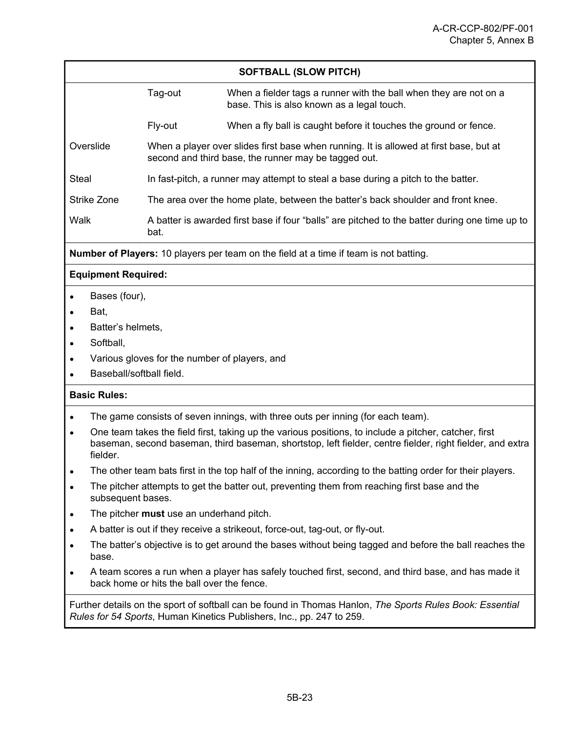| <b>SOFTBALL (SLOW PITCH)</b>                                                                 |                                                                                                                                                |                                                                                                                 |
|----------------------------------------------------------------------------------------------|------------------------------------------------------------------------------------------------------------------------------------------------|-----------------------------------------------------------------------------------------------------------------|
|                                                                                              | Tag-out                                                                                                                                        | When a fielder tags a runner with the ball when they are not on a<br>base. This is also known as a legal touch. |
|                                                                                              | Fly-out                                                                                                                                        | When a fly ball is caught before it touches the ground or fence.                                                |
| Overslide                                                                                    | When a player over slides first base when running. It is allowed at first base, but at<br>second and third base, the runner may be tagged out. |                                                                                                                 |
| Steal                                                                                        | In fast-pitch, a runner may attempt to steal a base during a pitch to the batter.                                                              |                                                                                                                 |
| Strike Zone                                                                                  | The area over the home plate, between the batter's back shoulder and front knee.                                                               |                                                                                                                 |
| Walk                                                                                         | A batter is awarded first base if four "balls" are pitched to the batter during one time up to<br>bat.                                         |                                                                                                                 |
| <b>Number of Players:</b> 10 players per team on the field at a time if team is not batting. |                                                                                                                                                |                                                                                                                 |
| <b>Equipment Required:</b>                                                                   |                                                                                                                                                |                                                                                                                 |

- 
- Bases (four),  $\bullet$
- Bat,
- Batter's helmets,  $\bullet$
- Softball,  $\bullet$
- Various gloves for the number of players, and  $\bullet$
- Baseball/softball field.  $\bullet$

## Basic Rules:

- The game consists of seven innings, with three outs per inning (for each team).  $\bullet$
- One team takes the field first, taking up the various positions, to include a pitcher, catcher, first  $\bullet$ baseman, second baseman, third baseman, shortstop, left fielder, centre fielder, right fielder, and extra fielder.
- $\bullet$ The other team bats first in the top half of the inning, according to the batting order for their players.
- The pitcher attempts to get the batter out, preventing them from reaching first base and the  $\bullet$ subsequent bases.
- The pitcher must use an underhand pitch.  $\bullet$
- A batter is out if they receive a strikeout, force-out, tag-out, or fly-out.  $\bullet$
- The batter's objective is to get around the bases without being tagged and before the ball reaches the  $\bullet$ base.
- A team scores a run when a player has safely touched first, second, and third base, and has made it  $\bullet$ back home or hits the ball over the fence.

Further details on the sport of softball can be found in Thomas Hanlon, The Sports Rules Book: Essential Rules for 54 Sports, Human Kinetics Publishers, Inc., pp. 247 to 259.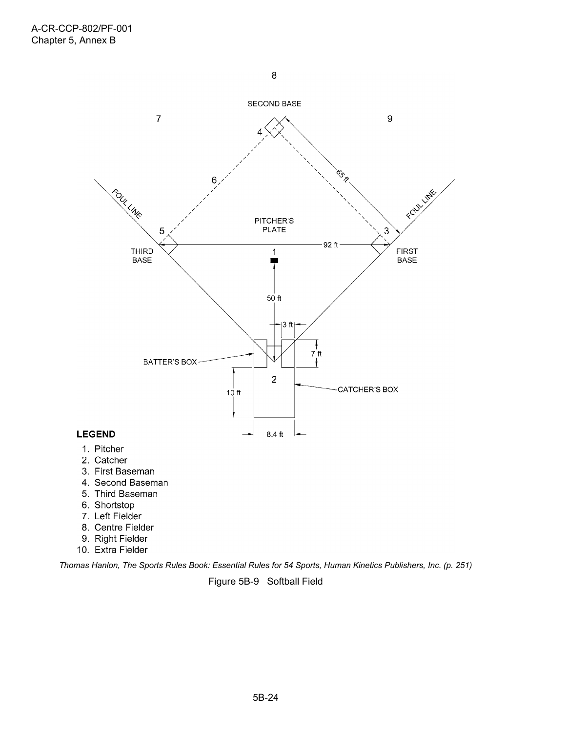

Thomas Hanlon, The Sports Rules Book: Essential Rules for 54 Sports, Human Kinetics Publishers, Inc. (p. 251)

Figure 5B-9 Softball Field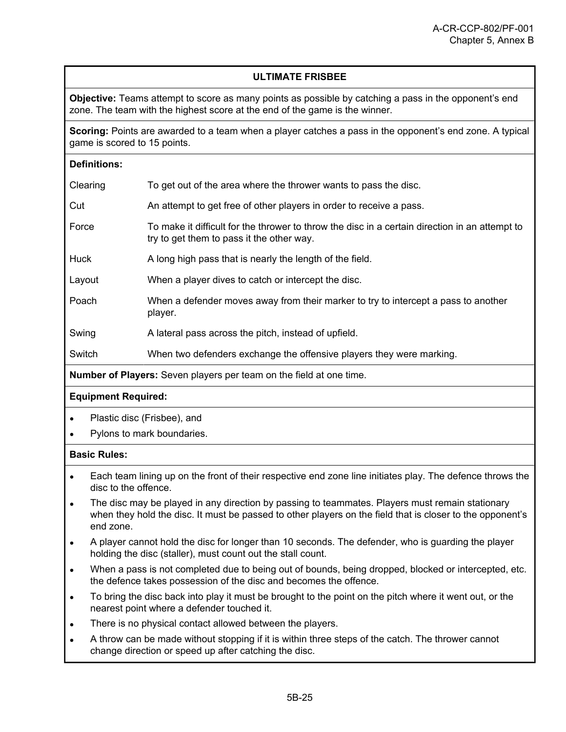# ULTIMATE FRISBEE

Objective: Teams attempt to score as many points as possible by catching a pass in the opponent's end zone. The team with the highest score at the end of the game is the winner.

Scoring: Points are awarded to a team when a player catches a pass in the opponent's end zone. A typical game is scored to 15 points.

### Definitions:

| Clearing    | To get out of the area where the thrower wants to pass the disc.                                                                            |
|-------------|---------------------------------------------------------------------------------------------------------------------------------------------|
| Cut         | An attempt to get free of other players in order to receive a pass.                                                                         |
| Force       | To make it difficult for the thrower to throw the disc in a certain direction in an attempt to<br>try to get them to pass it the other way. |
| <b>Huck</b> | A long high pass that is nearly the length of the field.                                                                                    |
| Layout      | When a player dives to catch or intercept the disc.                                                                                         |
| Poach       | When a defender moves away from their marker to try to intercept a pass to another<br>player.                                               |
| Swing       | A lateral pass across the pitch, instead of upfield.                                                                                        |
| Switch      | When two defenders exchange the offensive players they were marking.                                                                        |
|             |                                                                                                                                             |

Number of Players: Seven players per team on the field at one time.

## Equipment Required:

- Plastic disc (Frisbee), and  $\bullet$
- Pylons to mark boundaries.  $\bullet$

## Basic Rules:

- Each team lining up on the front of their respective end zone line initiates play. The defence throws the  $\bullet$ disc to the offence.
- The disc may be played in any direction by passing to teammates. Players must remain stationary  $\bullet$ when they hold the disc. It must be passed to other players on the field that is closer to the opponent's end zone.
- A player cannot hold the disc for longer than 10 seconds. The defender, who is guarding the player  $\bullet$ holding the disc (staller), must count out the stall count.
- When a pass is not completed due to being out of bounds, being dropped, blocked or intercepted, etc.  $\bullet$ the defence takes possession of the disc and becomes the offence.
- To bring the disc back into play it must be brought to the point on the pitch where it went out, or the  $\bullet$ nearest point where a defender touched it.
- There is no physical contact allowed between the players.
- A throw can be made without stopping if it is within three steps of the catch. The thrower cannot  $\bullet$ change direction or speed up after catching the disc.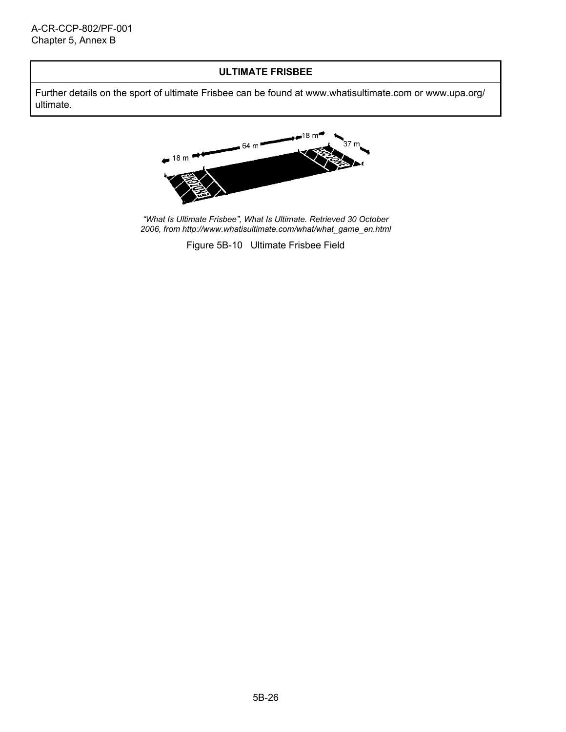## ULTIMATE FRISBEE

Further details on the sport of ultimate Frisbee can be found at www.whatisultimate.com or www.upa.org/ ultimate.



"What Is Ultimate Frisbee", What Is Ultimate. Retrieved 30 October 2006, from http://www.whatisultimate.com/what/what\_game\_en.html

Figure 5B-10 Ultimate Frisbee Field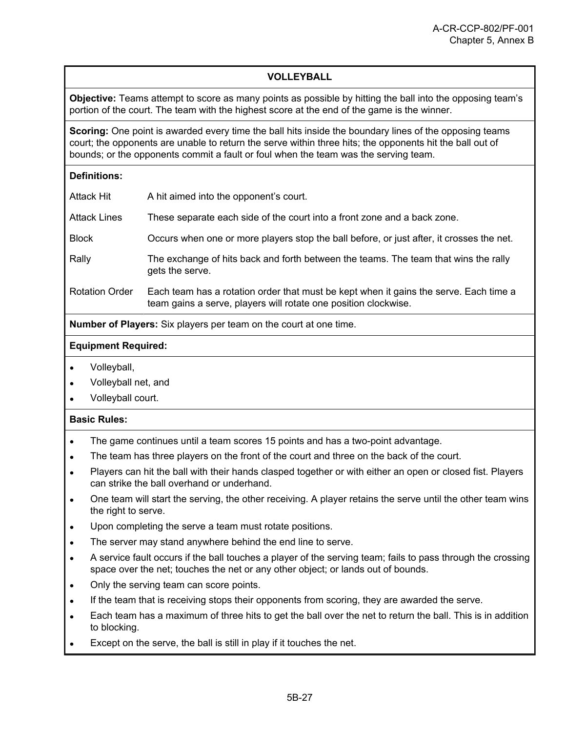## VOLLEYBALL

Objective: Teams attempt to score as many points as possible by hitting the ball into the opposing team's portion of the court. The team with the highest score at the end of the game is the winner.

Scoring: One point is awarded every time the ball hits inside the boundary lines of the opposing teams court; the opponents are unable to return the serve within three hits; the opponents hit the ball out of bounds; or the opponents commit a fault or foul when the team was the serving team.

### Definitions:

| Attack Hit | A hit aimed into the opponent's court. |
|------------|----------------------------------------|
|------------|----------------------------------------|

Attack Lines These separate each side of the court into a front zone and a back zone.

Block Occurs when one or more players stop the ball before, or just after, it crosses the net.

Rally The exchange of hits back and forth between the teams. The team that wins the rally gets the serve.

Rotation Order Each team has a rotation order that must be kept when it gains the serve. Each time a team gains a serve, players will rotate one position clockwise.

Number of Players: Six players per team on the court at one time.

#### Equipment Required:

- Volleyball,  $\bullet$
- Volleyball net, and  $\bullet$
- Volleyball court.

#### Basic Rules:

- The game continues until a team scores 15 points and has a two-point advantage.
- The team has three players on the front of the court and three on the back of the court.  $\bullet$
- Players can hit the ball with their hands clasped together or with either an open or closed fist. Players  $\bullet$ can strike the ball overhand or underhand.
- One team will start the serving, the other receiving. A player retains the serve until the other team wins  $\bullet$ the right to serve.
- Upon completing the serve a team must rotate positions.
- The server may stand anywhere behind the end line to serve.  $\bullet$
- A service fault occurs if the ball touches a player of the serving team; fails to pass through the crossing  $\bullet$ space over the net; touches the net or any other object; or lands out of bounds.
- Only the serving team can score points.
- If the team that is receiving stops their opponents from scoring, they are awarded the serve.  $\bullet$
- Each team has a maximum of three hits to get the ball over the net to return the ball. This is in addition  $\bullet$ to blocking.
- Except on the serve, the ball is still in play if it touches the net.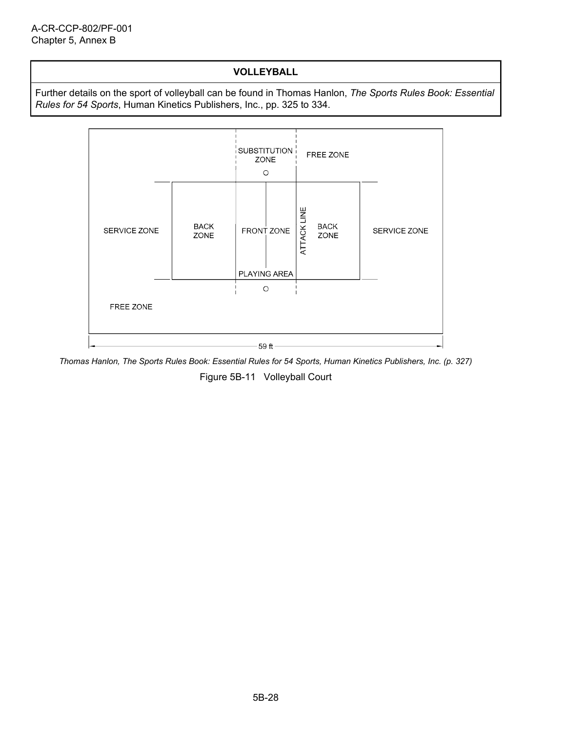# VOLLEYBALL

Further details on the sport of volleyball can be found in Thomas Hanlon, The Sports Rules Book: Essential Rules for 54 Sports, Human Kinetics Publishers, Inc., pp. 325 to 334.

|                  |                     | <b>SUBSTITUTION</b><br><b>ZONE</b><br>$\circ$ |                            | FREE ZONE   |                     |              |
|------------------|---------------------|-----------------------------------------------|----------------------------|-------------|---------------------|--------------|
| SERVICE ZONE     | <b>BACK</b><br>ZONE |                                               | FRONT ZONE<br>PLAYING AREA | ATTACK LINE | <b>BACK</b><br>ZONE | SERVICE ZONE |
|                  |                     | $\circ$                                       |                            |             |                     |              |
| <b>FREE ZONE</b> |                     |                                               |                            |             |                     |              |
| $-59$ ft         |                     |                                               |                            |             |                     |              |

Thomas Hanlon, The Sports Rules Book: Essential Rules for 54 Sports, Human Kinetics Publishers, Inc. (p. 327)

Figure 5B-11 Volleyball Court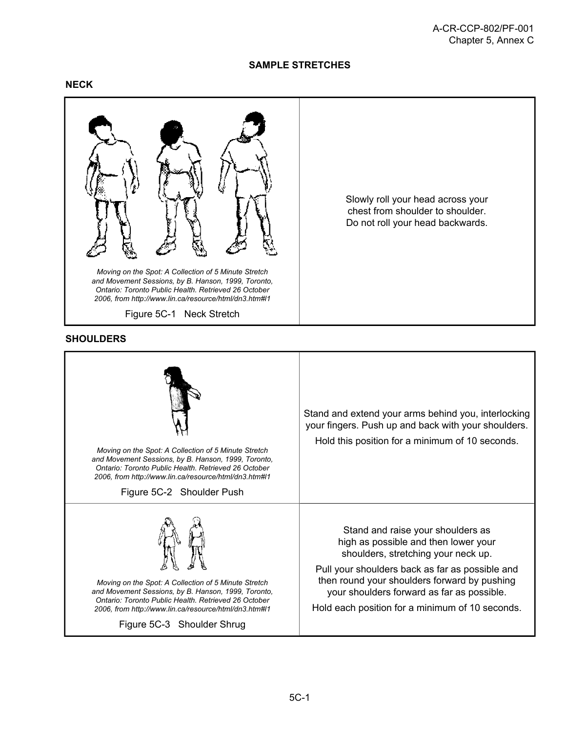## SAMPLE STRETCHES



## **SHOULDERS**

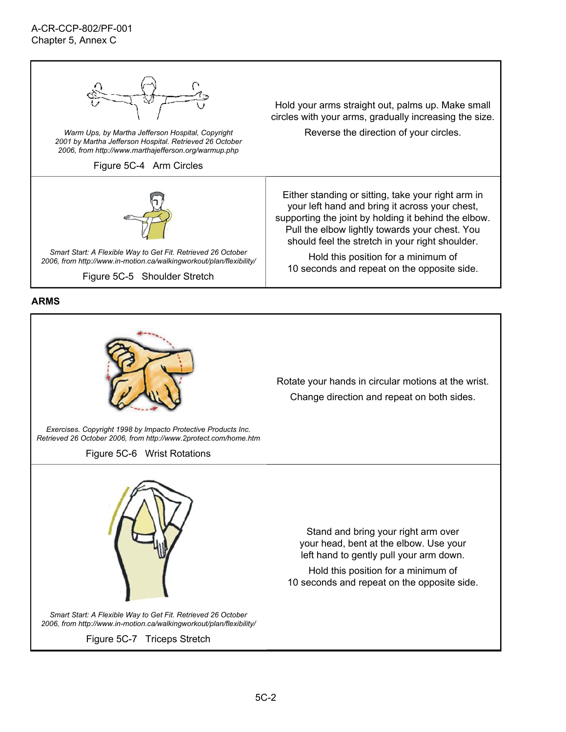

## ARMS

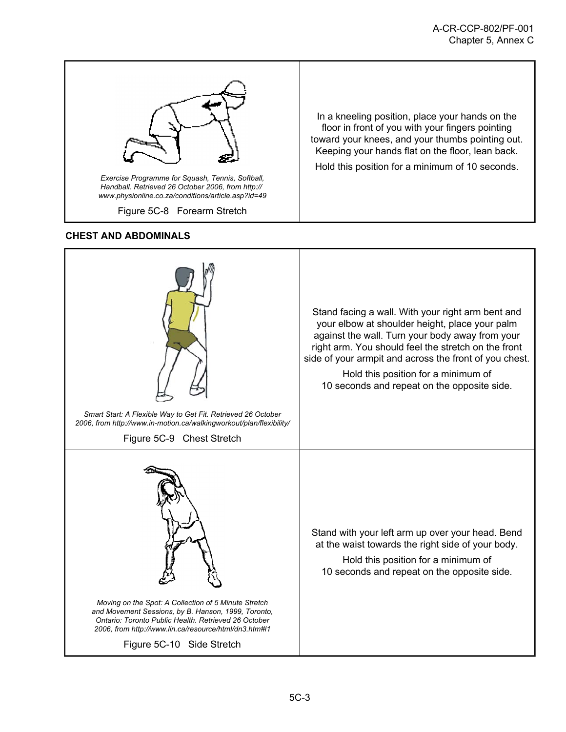

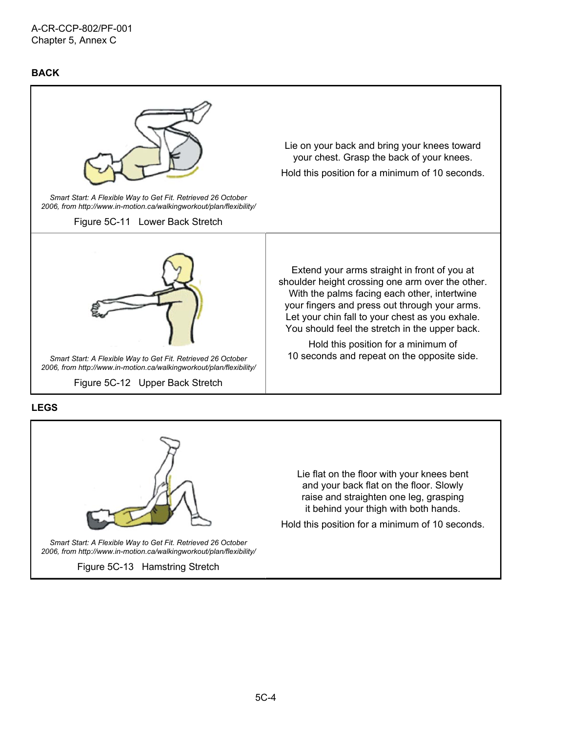## **BACK**



## LEGS



Figure 5C-13 Hamstring Stretch

Lie flat on the floor with your knees bent and your back flat on the floor. Slowly raise and straighten one leg, grasping it behind your thigh with both hands.

Hold this position for a minimum of 10 seconds.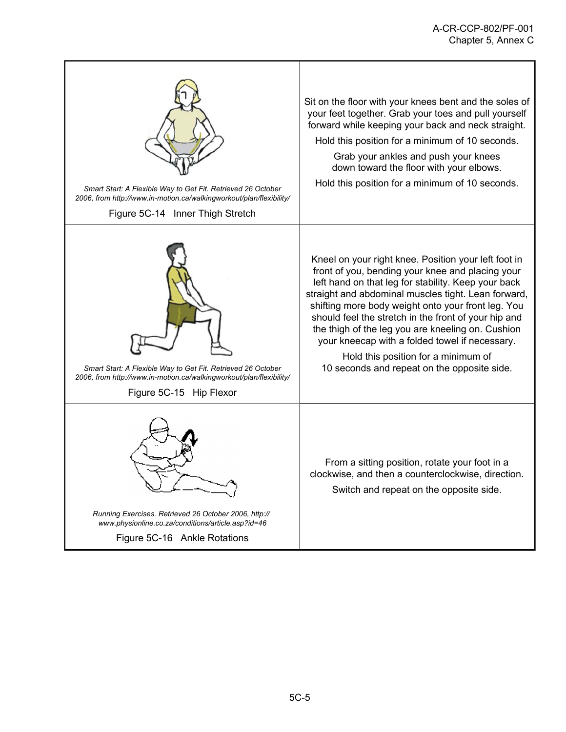